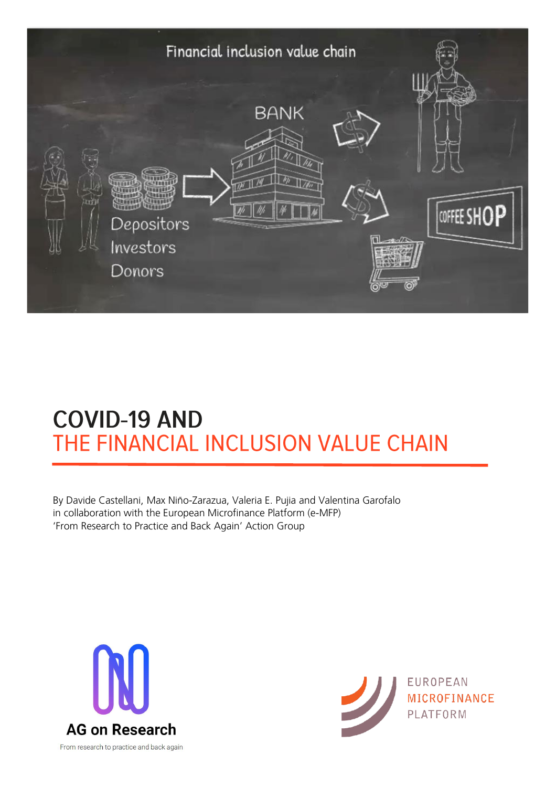

# **COVID-19 AND** THE FINANCIAL INCLUSION VALUE CHAIN

By Davide Castellani, Max Niño-Zarazua, Valeria E. Pujia and Valentina Garofalo in collaboration with the European Microfinance Platform (e-MFP) 'From Research to Practice and Back Again' Action Group



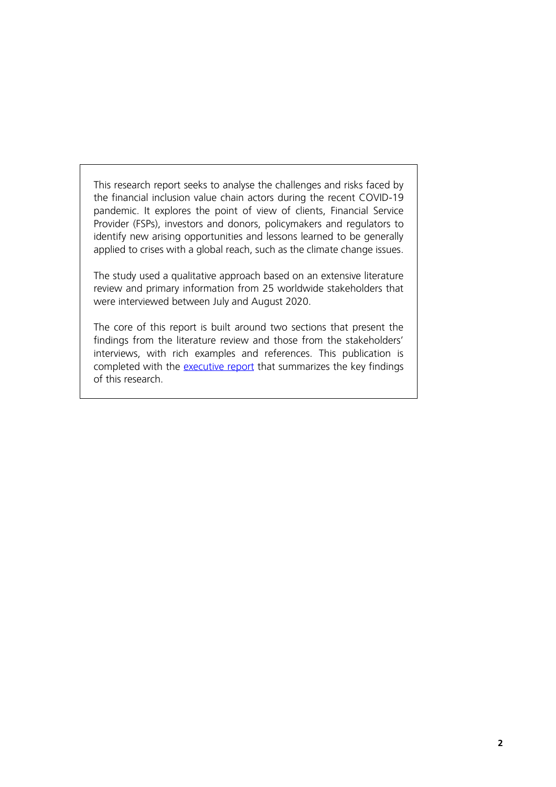This research report seeks to analyse the challenges and risks faced by the financial inclusion value chain actors during the recent COVID-19 pandemic. It explores the point of view of clients, Financial Service Provider (FSPs), investors and donors, policymakers and regulators to identify new arising opportunities and lessons learned to be generally applied to crises with a global reach, such as the climate change issues.

The study used a qualitative approach based on an extensive literature review and primary information from 25 worldwide stakeholders that were interviewed between July and August 2020.

The core of this report is built around two sections that present the findings from the literature review and those from the stakeholders' interviews, with rich examples and references. This publication is completed with the *executive report* that summarizes the key findings of this research.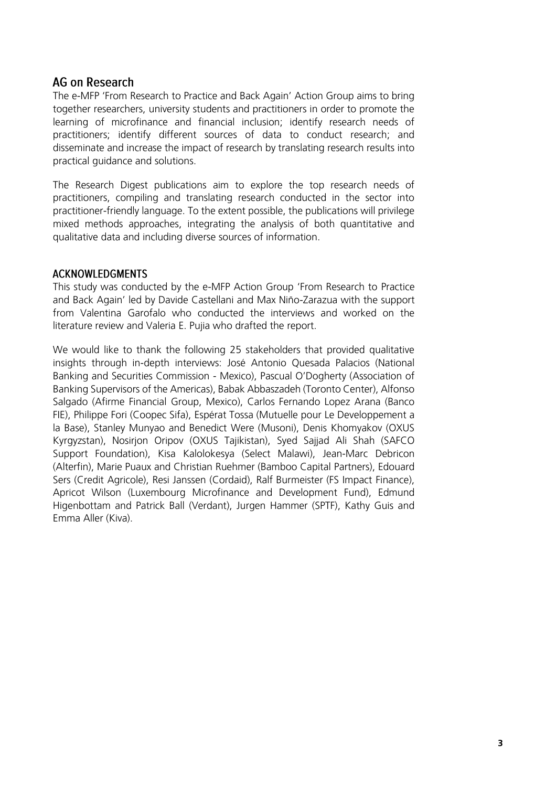#### **AG on Research**

The e-MFP 'From Research to Practice and Back Again' Action Group aims to bring together researchers, university students and practitioners in order to promote the learning of microfinance and financial inclusion; identify research needs of practitioners; identify different sources of data to conduct research; and disseminate and increase the impact of research by translating research results into practical guidance and solutions.

The Research Digest publications aim to explore the top research needs of practitioners, compiling and translating research conducted in the sector into practitioner-friendly language. To the extent possible, the publications will privilege mixed methods approaches, integrating the analysis of both quantitative and qualitative data and including diverse sources of information.

#### **ACKNOWLEDGMENTS**

This study was conducted by the e-MFP Action Group 'From Research to Practice and Back Again' led by Davide Castellani and Max Niño-Zarazua with the support from Valentina Garofalo who conducted the interviews and worked on the literature review and Valeria E. Pujia who drafted the report.

We would like to thank the following 25 stakeholders that provided qualitative insights through in-depth interviews: José Antonio Quesada Palacios (National Banking and Securities Commission - Mexico), Pascual O'Dogherty (Association of Banking Supervisors of the Americas), Babak Abbaszadeh (Toronto Center), Alfonso Salgado (Afirme Financial Group, Mexico), Carlos Fernando Lopez Arana (Banco FIE), Philippe Fori (Coopec Sifa), Espérat Tossa (Mutuelle pour Le Developpement a la Base), Stanley Munyao and Benedict Were (Musoni), Denis Khomyakov (OXUS Kyrgyzstan), Nosirjon Oripov (OXUS Tajikistan), Syed Sajjad Ali Shah (SAFCO Support Foundation), Kisa Kalolokesya (Select Malawi), Jean-Marc Debricon (Alterfin), Marie Puaux and Christian Ruehmer (Bamboo Capital Partners), Edouard Sers (Credit Agricole), Resi Janssen (Cordaid), Ralf Burmeister (FS Impact Finance), Apricot Wilson (Luxembourg Microfinance and Development Fund), Edmund Higenbottam and Patrick Ball (Verdant), Jurgen Hammer (SPTF), Kathy Guis and Emma Aller (Kiva).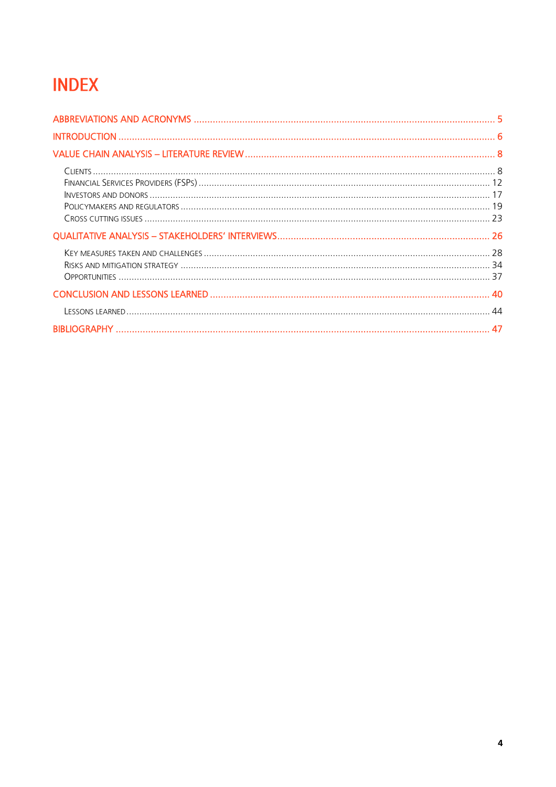## **INDEX**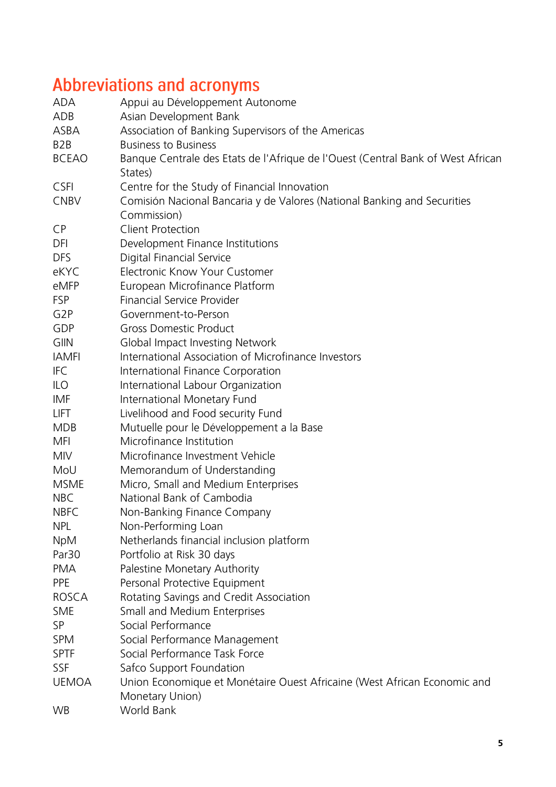# <span id="page-4-0"></span>Abbreviations and acronyms

| <b>ADA</b>        | Appui au Développement Autonome                                                 |  |  |
|-------------------|---------------------------------------------------------------------------------|--|--|
| ADB               | Asian Development Bank                                                          |  |  |
| <b>ASBA</b>       | Association of Banking Supervisors of the Americas                              |  |  |
| B <sub>2</sub> B  | <b>Business to Business</b>                                                     |  |  |
| <b>BCEAO</b>      | Banque Centrale des Etats de l'Afrique de l'Ouest (Central Bank of West African |  |  |
|                   | States)                                                                         |  |  |
| <b>CSFI</b>       | Centre for the Study of Financial Innovation                                    |  |  |
| <b>CNBV</b>       | Comisión Nacional Bancaria y de Valores (National Banking and Securities        |  |  |
|                   | Commission)                                                                     |  |  |
| <b>CP</b>         | <b>Client Protection</b>                                                        |  |  |
| DFI               | Development Finance Institutions                                                |  |  |
| <b>DFS</b>        | Digital Financial Service                                                       |  |  |
| eKYC              | <b>Electronic Know Your Customer</b>                                            |  |  |
| eMFP              | European Microfinance Platform                                                  |  |  |
| <b>FSP</b>        | Financial Service Provider                                                      |  |  |
| G <sub>2</sub> P  | Government-to-Person                                                            |  |  |
| GDP               | <b>Gross Domestic Product</b>                                                   |  |  |
| <b>GIIN</b>       | Global Impact Investing Network                                                 |  |  |
| <b>IAMFI</b>      | International Association of Microfinance Investors                             |  |  |
| <b>IFC</b>        | International Finance Corporation                                               |  |  |
| <b>ILO</b>        | International Labour Organization                                               |  |  |
| IMF               | International Monetary Fund                                                     |  |  |
| <b>LIFT</b>       | Livelihood and Food security Fund                                               |  |  |
| <b>MDB</b>        | Mutuelle pour le Développement a la Base                                        |  |  |
| <b>MFI</b>        | Microfinance Institution                                                        |  |  |
| <b>MIV</b>        | Microfinance Investment Vehicle                                                 |  |  |
| MoU               | Memorandum of Understanding                                                     |  |  |
| <b>MSME</b>       | Micro, Small and Medium Enterprises                                             |  |  |
| <b>NBC</b>        | National Bank of Cambodia                                                       |  |  |
| <b>NBFC</b>       | Non-Banking Finance Company                                                     |  |  |
| <b>NPL</b>        | Non-Performing Loan                                                             |  |  |
| <b>NpM</b>        | Netherlands financial inclusion platform                                        |  |  |
| Par <sub>30</sub> | Portfolio at Risk 30 days                                                       |  |  |
| <b>PMA</b>        | Palestine Monetary Authority                                                    |  |  |
| <b>PPE</b>        | Personal Protective Equipment                                                   |  |  |
| <b>ROSCA</b>      | Rotating Savings and Credit Association                                         |  |  |
| <b>SME</b>        | Small and Medium Enterprises                                                    |  |  |
| SP                | Social Performance                                                              |  |  |
| <b>SPM</b>        | Social Performance Management                                                   |  |  |
| <b>SPTF</b>       | Social Performance Task Force                                                   |  |  |
| <b>SSF</b>        | Safco Support Foundation                                                        |  |  |
| <b>UEMOA</b>      | Union Economique et Monétaire Ouest Africaine (West African Economic and        |  |  |
|                   | Monetary Union)                                                                 |  |  |
| <b>WB</b>         | World Bank                                                                      |  |  |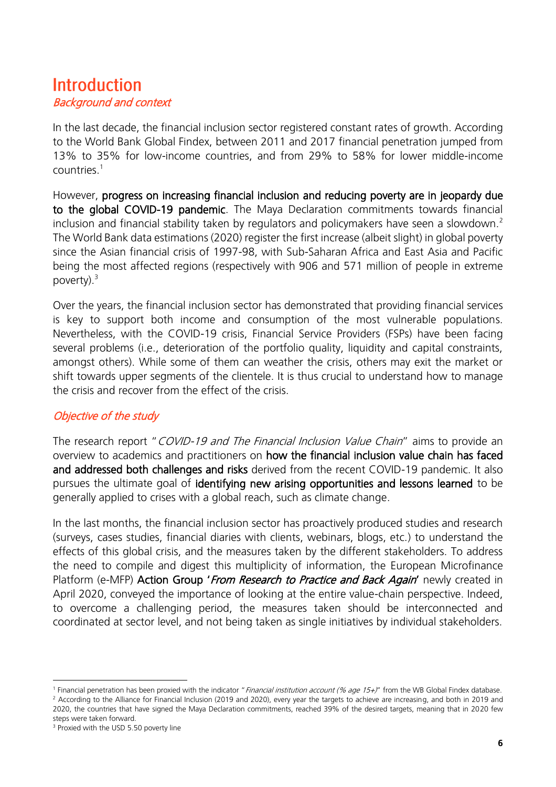### <span id="page-5-0"></span>**Introduction** Background and context

In the last decade, the financial inclusion sector registered constant rates of growth. According to the World Bank Global Findex, between 2011 and 2017 financial penetration jumped from 13% to 35% for low-income countries, and from 29% to 58% for lower middle-income countries. 1

However, progress on increasing financial inclusion and reducing poverty are in jeopardy due to the global COVID-19 pandemic. The Maya Declaration commitments towards financial inclusion and financial stability taken by regulators and policymakers have seen a slowdown.<sup>2</sup> The World Bank data estimations (2020) register the first increase (albeit slight) in global poverty since the Asian financial crisis of 1997-98, with Sub-Saharan Africa and East Asia and Pacific being the most affected regions (respectively with 906 and 571 million of people in extreme poverty). $3$ 

Over the years, the financial inclusion sector has demonstrated that providing financial services is key to support both income and consumption of the most vulnerable populations. Nevertheless, with the COVID-19 crisis, Financial Service Providers (FSPs) have been facing several problems (i.e., deterioration of the portfolio quality, liquidity and capital constraints, amongst others). While some of them can weather the crisis, others may exit the market or shift towards upper segments of the clientele. It is thus crucial to understand how to manage the crisis and recover from the effect of the crisis.

#### Objective of the study

The research report "COVID-19 and The Financial Inclusion Value Chain" aims to provide an overview to academics and practitioners on how the financial inclusion value chain has faced and addressed both challenges and risks derived from the recent COVID-19 pandemic. It also pursues the ultimate goal of identifying new arising opportunities and lessons learned to be generally applied to crises with a global reach, such as climate change.

In the last months, the financial inclusion sector has proactively produced studies and research (surveys, cases studies, financial diaries with clients, webinars, blogs, etc.) to understand the effects of this global crisis, and the measures taken by the different stakeholders. To address the need to compile and digest this multiplicity of information, the European Microfinance Platform (e-MFP) **Action Group '***From Research to Practice and Back Again'* newly created in April 2020, conveyed the importance of looking at the entire value-chain perspective. Indeed, to overcome a challenging period, the measures taken should be interconnected and coordinated at sector level, and not being taken as single initiatives by individual stakeholders.

<sup>&</sup>lt;sup>1</sup> Financial penetration has been proxied with the indicator "*Financial institution account (% age 15+)*" from the WB Global Findex database. <sup>2</sup> According to the Alliance for Financial Inclusion (2019 and 2020), every year the targets to achieve are increasing, and both in 2019 and 2020, the countries that have signed the Maya Declaration commitments, reached 39% of the desired targets, meaning that in 2020 few steps were taken forward.

<sup>&</sup>lt;sup>3</sup> Proxied with the USD 5.50 poverty line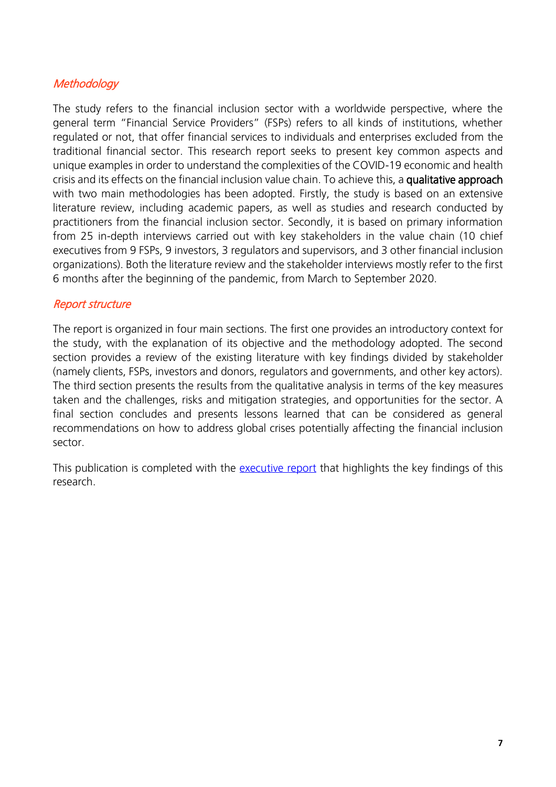#### **Methodology**

The study refers to the financial inclusion sector with a worldwide perspective, where the general term "Financial Service Providers" (FSPs) refers to all kinds of institutions, whether regulated or not, that offer financial services to individuals and enterprises excluded from the traditional financial sector. This research report seeks to present key common aspects and unique examples in order to understand the complexities of the COVID-19 economic and health crisis and its effects on the financial inclusion value chain. To achieve this, a qualitative approach with two main methodologies has been adopted. Firstly, the study is based on an extensive literature review, including academic papers, as well as studies and research conducted by practitioners from the financial inclusion sector. Secondly, it is based on primary information from 25 in-depth interviews carried out with key stakeholders in the value chain (10 chief executives from 9 FSPs, 9 investors, 3 regulators and supervisors, and 3 other financial inclusion organizations). Both the literature review and the stakeholder interviews mostly refer to the first 6 months after the beginning of the pandemic, from March to September 2020.

#### Report structure

The report is organized in four main sections. The first one provides an introductory context for the study, with the explanation of its objective and the methodology adopted. The second section provides a review of the existing literature with key findings divided by stakeholder (namely clients, FSPs, investors and donors, regulators and governments, and other key actors). The third section presents the results from the qualitative analysis in terms of the key measures taken and the challenges, risks and mitigation strategies, and opportunities for the sector. A final section concludes and presents lessons learned that can be considered as general recommendations on how to address global crises potentially affecting the financial inclusion sector.

This publication is completed with the [executive report](https://www.e-mfp.eu/sites/default/files/resources/2021/11/Covid-19%20and%20the%20FI%20value%20chain_research%20digest_final.pdf) that highlights the key findings of this research.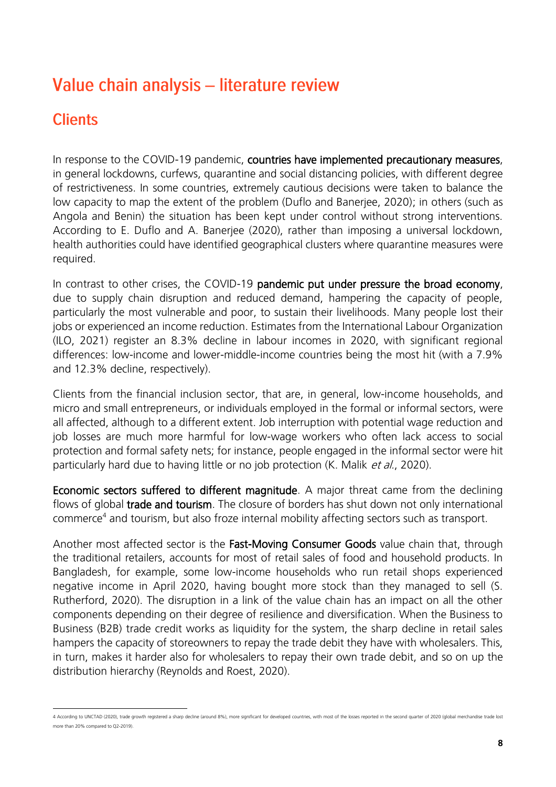## <span id="page-7-0"></span>Value chain analysis - literature review

### <span id="page-7-1"></span>**Clients**

In response to the COVID-19 pandemic, countries have implemented precautionary measures, in general lockdowns, curfews, quarantine and social distancing policies, with different degree of restrictiveness. In some countries, extremely cautious decisions were taken to balance the low capacity to map the extent of the problem (Duflo and Banerjee, 2020); in others (such as Angola and Benin) the situation has been kept under control without strong interventions. According to E. Duflo and A. Banerjee (2020), rather than imposing a universal lockdown, health authorities could have identified geographical clusters where quarantine measures were required.

In contrast to other crises, the COVID-19 pandemic put under pressure the broad economy, due to supply chain disruption and reduced demand, hampering the capacity of people, particularly the most vulnerable and poor, to sustain their livelihoods. Many people lost their jobs or experienced an income reduction. Estimates from the International Labour Organization (ILO, 2021) register an 8.3% decline in labour incomes in 2020, with significant regional differences: low-income and lower-middle-income countries being the most hit (with a 7.9% and 12.3% decline, respectively).

Clients from the financial inclusion sector, that are, in general, low-income households, and micro and small entrepreneurs, or individuals employed in the formal or informal sectors, were all affected, although to a different extent. Job interruption with potential wage reduction and job losses are much more harmful for low-wage workers who often lack access to social protection and formal safety nets; for instance, people engaged in the informal sector were hit particularly hard due to having little or no job protection (K. Malik et al., 2020).

Economic sectors suffered to different magnitude. A major threat came from the declining flows of global **trade and tourism**. The closure of borders has shut down not only international commerce<sup>4</sup> and tourism, but also froze internal mobility affecting sectors such as transport.

Another most affected sector is the Fast-Moving Consumer Goods value chain that, through the traditional retailers, accounts for most of retail sales of food and household products. In Bangladesh, for example, some low-income households who run retail shops experienced negative income in April 2020, having bought more stock than they managed to sell (S. Rutherford, 2020). The disruption in a link of the value chain has an impact on all the other components depending on their degree of resilience and diversification. When the Business to Business (B2B) trade credit works as liquidity for the system, the sharp decline in retail sales hampers the capacity of storeowners to repay the trade debit they have with wholesalers. This, in turn, makes it harder also for wholesalers to repay their own trade debit, and so on up the distribution hierarchy (Reynolds and Roest, 2020).

<sup>4</sup> According to UNCTAD (2020), trade growth registered a sharp decline (around 8%), more significant for developed countries, with most of the losses reported in the second quarter of 2020 (global merchandise trade lost more than 20% compared to Q2-2019).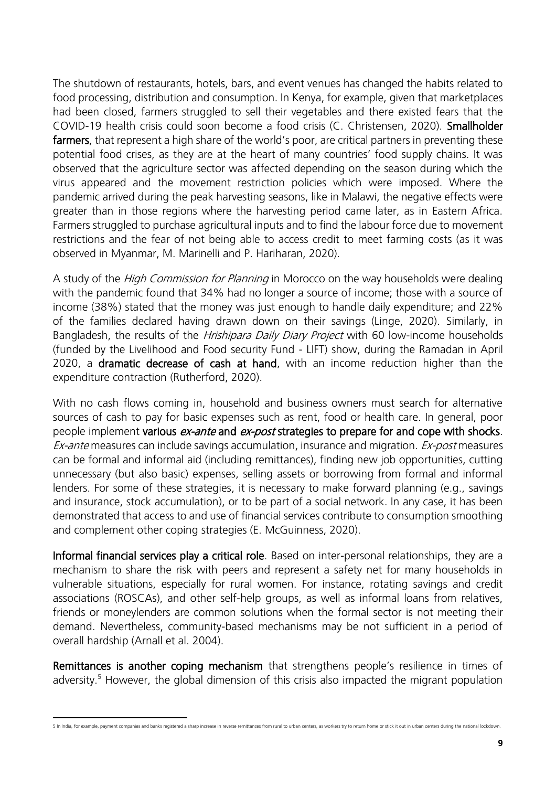The shutdown of restaurants, hotels, bars, and event venues has changed the habits related to food processing, distribution and consumption. In Kenya, for example, given that marketplaces had been closed, farmers struggled to sell their vegetables and there existed fears that the COVID-19 health crisis could soon become a food crisis (C. Christensen, 2020). Smallholder farmers, that represent a high share of the world's poor, are critical partners in preventing these potential food crises, as they are at the heart of many countries' food supply chains. It was observed that the agriculture sector was affected depending on the season during which the virus appeared and the movement restriction policies which were imposed. Where the pandemic arrived during the peak harvesting seasons, like in Malawi, the negative effects were greater than in those regions where the harvesting period came later, as in Eastern Africa. Farmers struggled to purchase agricultural inputs and to find the labour force due to movement restrictions and the fear of not being able to access credit to meet farming costs (as it was observed in Myanmar, M. Marinelli and P. Hariharan, 2020).

A study of the *High Commission for Planning* in Morocco on the way households were dealing with the pandemic found that 34% had no longer a source of income; those with a source of income (38%) stated that the money was just enough to handle daily expenditure; and 22% of the families declared having drawn down on their savings (Linge, 2020). Similarly, in Bangladesh, the results of the *Hrishipara Daily Diary Project* with 60 low-income households (funded by the Livelihood and Food security Fund - LIFT) show, during the Ramadan in April 2020, a dramatic decrease of cash at hand, with an income reduction higher than the expenditure contraction (Rutherford, 2020).

With no cash flows coming in, household and business owners must search for alternative sources of cash to pay for basic expenses such as rent, food or health care. In general, poor people implement various *ex-ante* and *ex-post* strategies to prepare for and cope with shocks. Ex-ante measures can include savings accumulation, insurance and migration. Ex-post measures can be formal and informal aid (including remittances), finding new job opportunities, cutting unnecessary (but also basic) expenses, selling assets or borrowing from formal and informal lenders. For some of these strategies, it is necessary to make forward planning (e.g., savings and insurance, stock accumulation), or to be part of a social network. In any case, it has been demonstrated that access to and use of financial services contribute to consumption smoothing and complement other coping strategies (E. McGuinness, 2020).

Informal financial services play a critical role. Based on inter-personal relationships, they are a mechanism to share the risk with peers and represent a safety net for many households in vulnerable situations, especially for rural women. For instance, rotating savings and credit associations (ROSCAs), and other self-help groups, as well as informal loans from relatives, friends or moneylenders are common solutions when the formal sector is not meeting their demand. Nevertheless, community-based mechanisms may be not sufficient in a period of overall hardship (Arnall et al. 2004).

Remittances is another coping mechanism that strengthens people's resilience in times of adversity. <sup>5</sup> However, the global dimension of this crisis also impacted the migrant population

5 In India, for example, payment companies and banks registered a sharp increase in reverse remittances from rural to urban centers, as workers try to return home or stick it out in urban centers during the national lockdo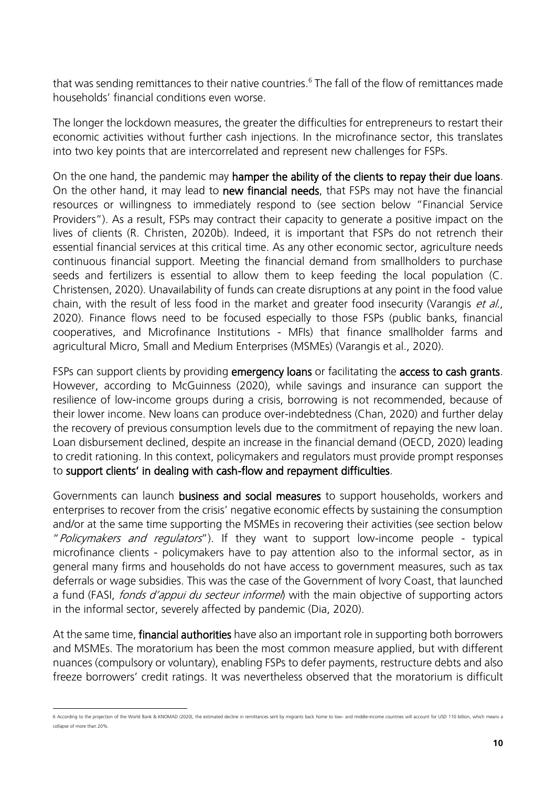that was sending remittances to their native countries. $^6$  The fall of the flow of remittances made households' financial conditions even worse.

The longer the lockdown measures, the greater the difficulties for entrepreneurs to restart their economic activities without further cash injections. In the microfinance sector, this translates into two key points that are intercorrelated and represent new challenges for FSPs.

On the one hand, the pandemic may hamper the ability of the clients to repay their due loans. On the other hand, it may lead to new financial needs, that FSPs may not have the financial resources or willingness to immediately respond to (see section below "Financial Service Providers"). As a result, FSPs may contract their capacity to generate a positive impact on the lives of clients (R. Christen, 2020b). Indeed, it is important that FSPs do not retrench their essential financial services at this critical time. As any other economic sector, agriculture needs continuous financial support. Meeting the financial demand from smallholders to purchase seeds and fertilizers is essential to allow them to keep feeding the local population (C. Christensen, 2020). Unavailability of funds can create disruptions at any point in the food value chain, with the result of less food in the market and greater food insecurity (Varangis et al., 2020). Finance flows need to be focused especially to those FSPs (public banks, financial cooperatives, and Microfinance Institutions - MFIs) that finance smallholder farms and agricultural Micro, Small and Medium Enterprises (MSMEs) (Varangis et al., 2020).

FSPs can support clients by providing emergency loans or facilitating the access to cash grants. However, according to McGuinness (2020), while savings and insurance can support the resilience of low-income groups during a crisis, borrowing is not recommended, because of their lower income. New loans can produce over-indebtedness (Chan, 2020) and further delay the recovery of previous consumption levels due to the commitment of repaying the new loan. Loan disbursement declined, despite an increase in the financial demand (OECD, 2020) leading to credit rationing. In this context, policymakers and regulators must provide prompt responses to support clients' in dealing with cash-flow and repayment difficulties.

Governments can launch business and social measures to support households, workers and enterprises to recover from the crisis' negative economic effects by sustaining the consumption and/or at the same time supporting the MSMEs in recovering their activities (see section below "Policymakers and regulators"). If they want to support low-income people - typical microfinance clients - policymakers have to pay attention also to the informal sector, as in general many firms and households do not have access to government measures, such as tax deferrals or wage subsidies. This was the case of the Government of Ivory Coast, that launched a fund (FASI, fonds d'appui du secteur informel) with the main objective of supporting actors in the informal sector, severely affected by pandemic (Dia, 2020).

At the same time, **financial authorities** have also an important role in supporting both borrowers and MSMEs. The moratorium has been the most common measure applied, but with different nuances (compulsory or voluntary), enabling FSPs to defer payments, restructure debts and also freeze borrowers' credit ratings. It was nevertheless observed that the moratorium is difficult

<sup>6</sup> According to the projection of the World Bank & KNOMAD (2020), the estimated decline in remittances sent by migrants back home to low- and middle-income countries will account for USD 110 billion, which means a collapse of more than 20%.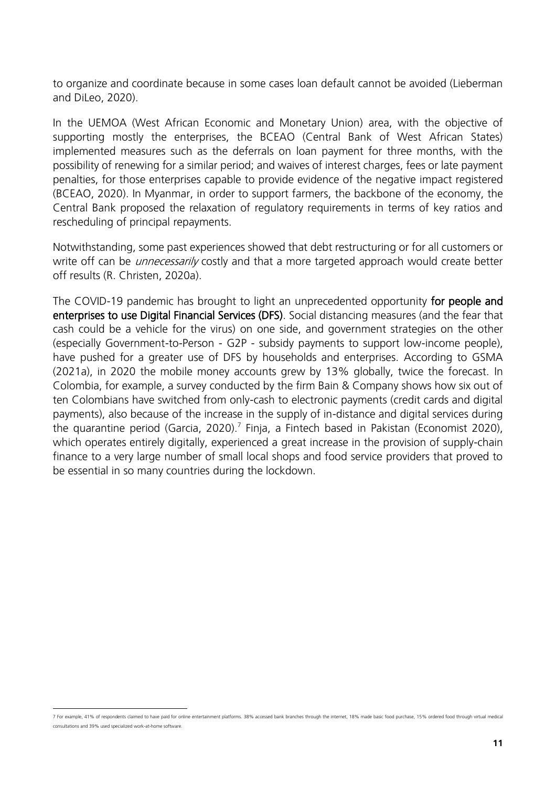to organize and coordinate because in some cases loan default cannot be avoided (Lieberman and DiLeo, 2020).

In the UEMOA (West African Economic and Monetary Union) area, with the objective of supporting mostly the enterprises, the BCEAO (Central Bank of West African States) implemented measures such as the deferrals on loan payment for three months, with the possibility of renewing for a similar period; and waives of interest charges, fees or late payment penalties, for those enterprises capable to provide evidence of the negative impact registered (BCEAO, 2020). In Myanmar, in order to support farmers, the backbone of the economy, the Central Bank proposed the relaxation of regulatory requirements in terms of key ratios and rescheduling of principal repayments.

Notwithstanding, some past experiences showed that debt restructuring or for all customers or write off can be *unnecessarily* costly and that a more targeted approach would create better off results (R. Christen, 2020a).

The COVID-19 pandemic has brought to light an unprecedented opportunity for people and enterprises to use Digital Financial Services (DFS). Social distancing measures (and the fear that cash could be a vehicle for the virus) on one side, and government strategies on the other (especially Government-to-Person - G2P - subsidy payments to support low-income people), have pushed for a greater use of DFS by households and enterprises. According to GSMA (2021a), in 2020 the mobile money accounts grew by 13% globally, twice the forecast. In Colombia, for example, a survey conducted by the firm Bain & Company shows how six out of ten Colombians have switched from only-cash to electronic payments (credit cards and digital payments), also because of the increase in the supply of in-distance and digital services during the quarantine period (Garcia, 2020).<sup>7</sup> Finja, a Fintech based in Pakistan (Economist 2020), which operates entirely digitally, experienced a great increase in the provision of supply-chain finance to a very large number of small local shops and food service providers that proved to be essential in so many countries during the lockdown.

<sup>7</sup> For example, 41% of respondents claimed to have paid for online entertainment platforms. 38% accessed bank branches through the internet, 18% made basic food purchase, 15% ordered food through virtual medical consultations and 39% used specialized work-at-home software.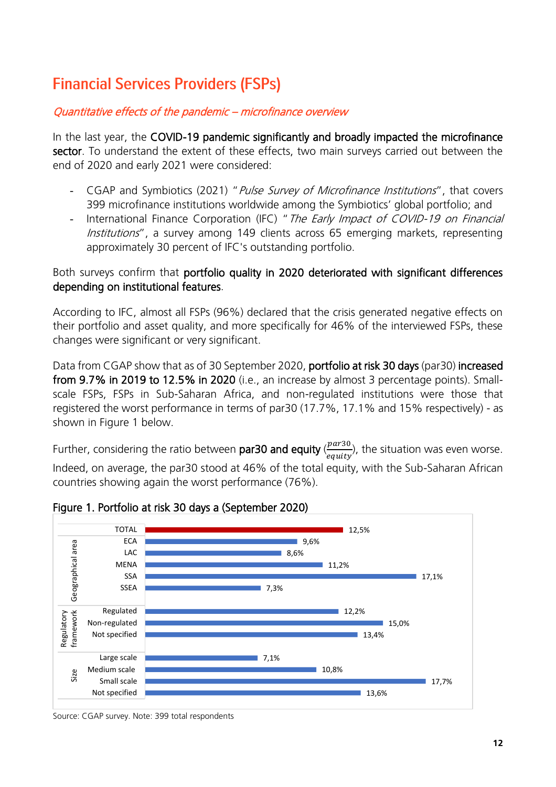## <span id="page-11-0"></span>**Financial Services Providers (FSPs)**

#### Quantitative effects of the pandemic – microfinance overview

In the last year, the COVID-19 pandemic significantly and broadly impacted the microfinance sector. To understand the extent of these effects, two main surveys carried out between the end of 2020 and early 2021 were considered:

- CGAP and Symbiotics (2021) " Pulse Survey of Microfinance Institutions", that covers 399 microfinance institutions worldwide among the Symbiotics' global portfolio; and
- International Finance Corporation (IFC) " The Early Impact of COVID-19 on Financial Institutions", a survey among 149 clients across 65 emerging markets, representing approximately 30 percent of IFC's outstanding portfolio.

#### Both surveys confirm that portfolio quality in 2020 deteriorated with significant differences depending on institutional features.

According to IFC, almost all FSPs (96%) declared that the crisis generated negative effects on their portfolio and asset quality, and more specifically for 46% of the interviewed FSPs, these changes were significant or very significant.

Data from CGAP show that as of 30 September 2020, portfolio at risk 30 days (par30) increased from 9.7% in 2019 to 12.5% in 2020 (i.e., an increase by almost 3 percentage points). Smallscale FSPs, FSPs in Sub-Saharan Africa, and non-regulated institutions were those that registered the worst performance in terms of par30 (17.7%, 17.1% and 15% respectively) - as shown in Figure 1 below.

Further, considering the ratio between par30 and equity  $\langle \frac{par30}{earits} \rangle$  $\frac{p_{air,30}}{equity}$ , the situation was even worse.

Indeed, on average, the par30 stood at 46% of the total equity, with the Sub-Saharan African countries showing again the worst performance (76%).



Figure 1. Portfolio at risk 30 days a (September 2020)

Source: CGAP survey. Note: 399 total respondents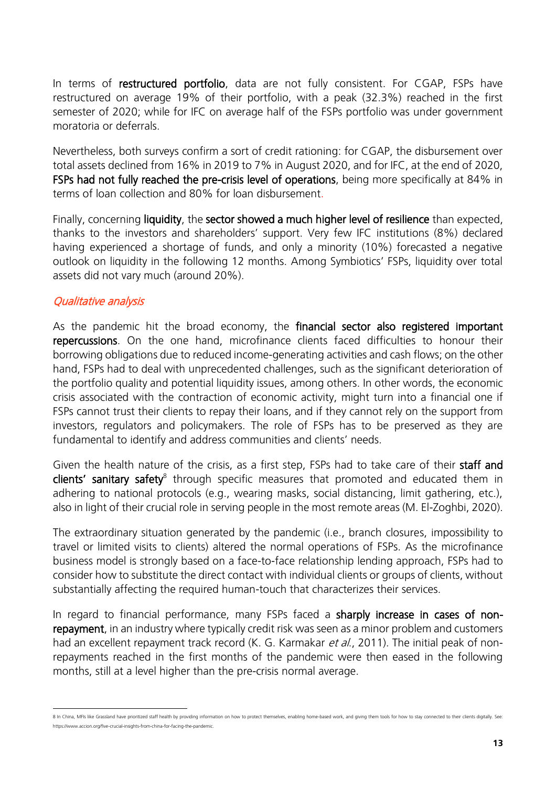In terms of restructured portfolio, data are not fully consistent. For CGAP, FSPs have restructured on average 19% of their portfolio, with a peak (32.3%) reached in the first semester of 2020; while for IFC on average half of the FSPs portfolio was under government moratoria or deferrals.

Nevertheless, both surveys confirm a sort of credit rationing: for CGAP, the disbursement over total assets declined from 16% in 2019 to 7% in August 2020, and for IFC, at the end of 2020, FSPs had not fully reached the pre-crisis level of operations, being more specifically at 84% in terms of loan collection and 80% for loan disbursement.

Finally, concerning liquidity, the sector showed a much higher level of resilience than expected, thanks to the investors and shareholders' support. Very few IFC institutions (8%) declared having experienced a shortage of funds, and only a minority (10%) forecasted a negative outlook on liquidity in the following 12 months. Among Symbiotics' FSPs, liquidity over total assets did not vary much (around 20%).

#### Qualitative analysis

As the pandemic hit the broad economy, the financial sector also registered important repercussions. On the one hand, microfinance clients faced difficulties to honour their borrowing obligations due to reduced income-generating activities and cash flows; on the other hand, FSPs had to deal with unprecedented challenges, such as the significant deterioration of the portfolio quality and potential liquidity issues, among others. In other words, the economic crisis associated with the contraction of economic activity, might turn into a financial one if FSPs cannot trust their clients to repay their loans, and if they cannot rely on the support from investors, regulators and policymakers. The role of FSPs has to be preserved as they are fundamental to identify and address communities and clients' needs.

Given the health nature of the crisis, as a first step, FSPs had to take care of their **staff and** clients' sanitary safety<sup>8</sup> through specific measures that promoted and educated them in adhering to national protocols (e.g., wearing masks, social distancing, limit gathering, etc.), also in light of their crucial role in serving people in the most remote areas (M. El-Zoghbi, 2020).

The extraordinary situation generated by the pandemic (i.e., branch closures, impossibility to travel or limited visits to clients) altered the normal operations of FSPs. As the microfinance business model is strongly based on a face-to-face relationship lending approach, FSPs had to consider how to substitute the direct contact with individual clients or groups of clients, without substantially affecting the required human-touch that characterizes their services.

In regard to financial performance, many FSPs faced a sharply increase in cases of nonrepayment, in an industry where typically credit risk was seen as a minor problem and customers had an excellent repayment track record (K. G. Karmakar *et al.*, 2011). The initial peak of nonrepayments reached in the first months of the pandemic were then eased in the following months, still at a level higher than the pre-crisis normal average.

<sup>8</sup> In China, MFIs like Grassland have prioritized staff health by providing information on how to protect themselves, enabling home-based work, and giving them tools for how to stay connected to their clients digitally. See [https://www.accion.org/five-crucial-insights-from-china-for-facing-the-pandemic.](https://www.accion.org/five-crucial-insights-from-china-for-facing-the-pandemic)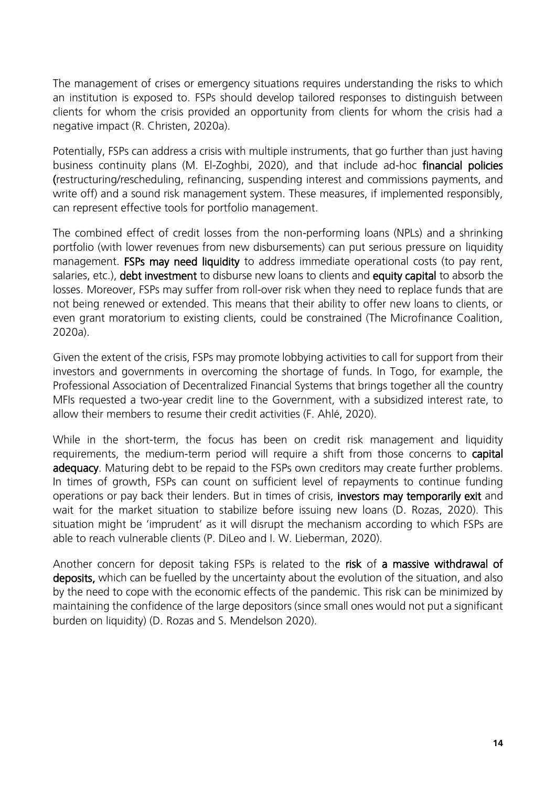The management of crises or emergency situations requires understanding the risks to which an institution is exposed to. FSPs should develop tailored responses to distinguish between clients for whom the crisis provided an opportunity from clients for whom the crisis had a negative impact (R. Christen, 2020a).

Potentially, FSPs can address a crisis with multiple instruments, that go further than just having business continuity plans (M. El-Zoghbi, 2020), and that include ad-hoc financial policies (restructuring/rescheduling, refinancing, suspending interest and commissions payments, and write off) and a sound risk management system. These measures, if implemented responsibly, can represent effective tools for portfolio management.

The combined effect of credit losses from the non-performing loans (NPLs) and a shrinking portfolio (with lower revenues from new disbursements) can put serious pressure on liquidity management. **FSPs may need liquidity** to address immediate operational costs (to pay rent, salaries, etc.), **debt investment** to disburse new loans to clients and **equity capital** to absorb the losses. Moreover, FSPs may suffer from roll-over risk when they need to replace funds that are not being renewed or extended. This means that their ability to offer new loans to clients, or even grant moratorium to existing clients, could be constrained (The Microfinance Coalition, 2020a).

Given the extent of the crisis, FSPs may promote lobbying activities to call for support from their investors and governments in overcoming the shortage of funds. In Togo, for example, the Professional Association of Decentralized Financial Systems that brings together all the country MFIs requested a two-year credit line to the Government, with a subsidized interest rate, to allow their members to resume their credit activities (F. Ahlé, 2020).

While in the short-term, the focus has been on credit risk management and liquidity requirements, the medium-term period will require a shift from those concerns to **capital** adequacy. Maturing debt to be repaid to the FSPs own creditors may create further problems. In times of growth, FSPs can count on sufficient level of repayments to continue funding operations or pay back their lenders. But in times of crisis, investors may temporarily exit and wait for the market situation to stabilize before issuing new loans (D. Rozas, 2020). This situation might be 'imprudent' as it will disrupt the mechanism according to which FSPs are able to reach vulnerable clients (P. DiLeo and I. W. Lieberman, 2020).

Another concern for deposit taking FSPs is related to the risk of a massive withdrawal of deposits, which can be fuelled by the uncertainty about the evolution of the situation, and also by the need to cope with the economic effects of the pandemic. This risk can be minimized by maintaining the confidence of the large depositors (since small ones would not put a significant burden on liquidity) (D. Rozas and S. Mendelson 2020).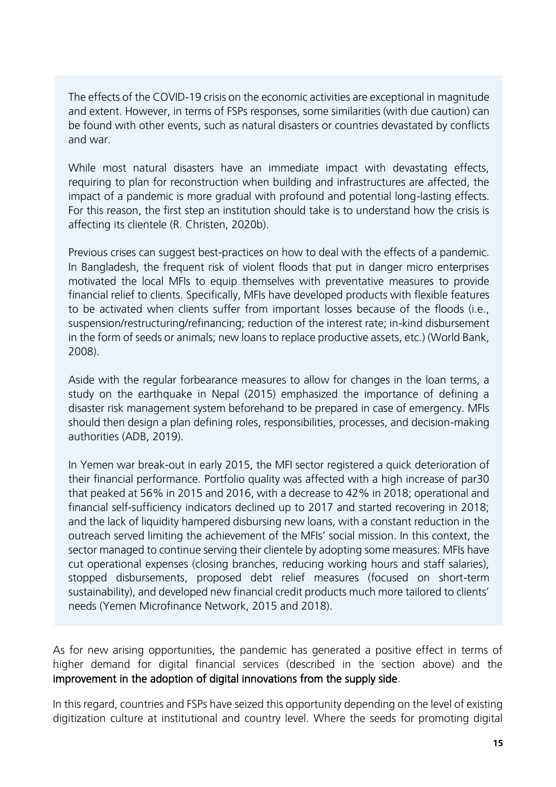The effects of the COVID-19 crisis on the economic activities are exceptional in magnitude and extent. However, in terms of FSPs responses, some similarities (with due caution) can be found with other events, such as natural disasters or countries devastated by conflicts and war.

While most natural disasters have an immediate impact with devastating effects, requiring to plan for reconstruction when building and infrastructures are affected, the impact of a pandemic is more gradual with profound and potential long-lasting effects. For this reason, the first step an institution should take is to understand how the crisis is affecting its clientele (R. Christen, 2020b).

Previous crises can suggest best-practices on how to deal with the effects of a pandemic. In Bangladesh, the frequent risk of violent floods that put in danger micro enterprises motivated the local MFIs to equip themselves with preventative measures to provide financial relief to clients. Specifically, MFIs have developed products with flexible features to be activated when clients suffer from important losses because of the floods (i.e., suspension/restructuring/refinancing; reduction of the interest rate; in-kind disbursement in the form of seeds or animals; new loans to replace productive assets, etc.) (World Bank, 2008).

Aside with the regular forbearance measures to allow for changes in the loan terms, a study on the earthquake in Nepal (2015) emphasized the importance of defining a disaster risk management system beforehand to be prepared in case of emergency. MFIs should then design a plan defining roles, responsibilities, processes, and decision-making authorities (ADB, 2019).

In Yemen war break-out in early 2015, the MFI sector registered a quick deterioration of their financial performance. Portfolio quality was affected with a high increase of par30 that peaked at 56% in 2015 and 2016, with a decrease to 42% in 2018; operational and financial self-sufficiency indicators declined up to 2017 and started recovering in 2018; and the lack of liquidity hampered disbursing new loans, with a constant reduction in the outreach served limiting the achievement of the MFIs' social mission. In this context, the sector managed to continue serving their clientele by adopting some measures: MFIs have cut operational expenses (closing branches, reducing working hours and staff salaries), stopped disbursements, proposed debt relief measures (focused on short-term sustainability), and developed new financial credit products much more tailored to clients' needs (Yemen Microfinance Network, 2015 and 2018).

As for new arising opportunities, the pandemic has generated a positive effect in terms of higher demand for digital financial services (described in the section above) and the improvement in the adoption of digital innovations from the supply side.

In this regard, countries and FSPs have seized this opportunity depending on the level of existing digitization culture at institutional and country level. Where the seeds for promoting digital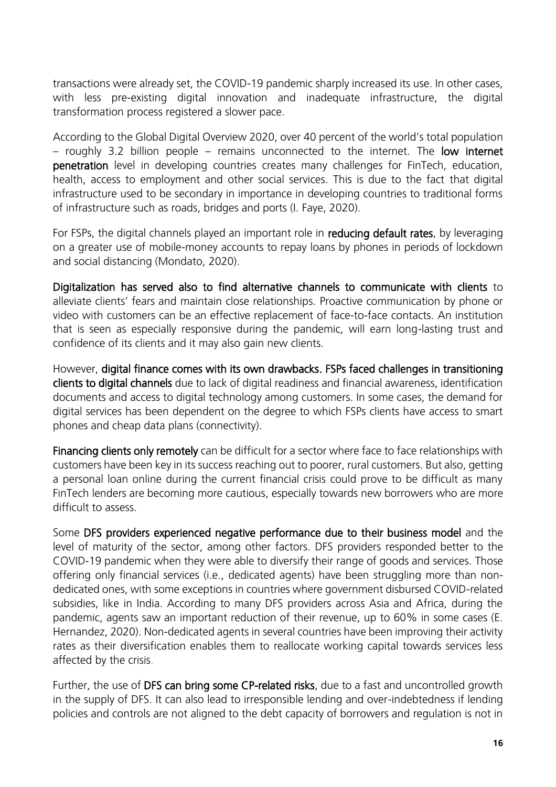transactions were already set, the COVID-19 pandemic sharply increased its use. In other cases, with less pre-existing digital innovation and inadequate infrastructure, the digital transformation process registered a slower pace.

According to the Global Digital Overview 2020, over 40 percent of the world's total population  $-$  roughly 3.2 billion people  $-$  remains unconnected to the internet. The low internet penetration level in developing countries creates many challenges for FinTech, education, health, access to employment and other social services. This is due to the fact that digital infrastructure used to be secondary in importance in developing countries to traditional forms of infrastructure such as roads, bridges and ports (I. Faye, 2020).

For FSPs, the digital channels played an important role in reducing default rates, by leveraging on a greater use of mobile-money accounts to repay loans by phones in periods of lockdown and social distancing (Mondato, 2020).

Digitalization has served also to find alternative channels to communicate with clients to alleviate clients' fears and maintain close relationships. Proactive communication by phone or video with customers can be an effective replacement of face-to-face contacts. An institution that is seen as especially responsive during the pandemic, will earn long-lasting trust and confidence of its clients and it may also gain new clients.

However, digital finance comes with its own drawbacks. FSPs faced challenges in transitioning clients to digital channels due to lack of digital readiness and financial awareness, identification documents and access to digital technology among customers. In some cases, the demand for digital services has been dependent on the degree to which FSPs clients have access to smart phones and cheap data plans (connectivity).

Financing clients only remotely can be difficult for a sector where face to face relationships with customers have been key in its success reaching out to poorer, rural customers. But also, getting a personal loan online during the current financial crisis could prove to be difficult as many FinTech lenders are becoming more cautious, especially towards new borrowers who are more difficult to assess.

Some DFS providers experienced negative performance due to their business model and the level of maturity of the sector, among other factors. DFS providers responded better to the COVID-19 pandemic when they were able to diversify their range of goods and services. Those offering only financial services (i.e., dedicated agents) have been struggling more than nondedicated ones, with some exceptions in countries where government disbursed COVID-related subsidies, like in India. According to many DFS providers across Asia and Africa, during the pandemic, agents saw an important reduction of their revenue, up to 60% in some cases (E. Hernandez, 2020). Non-dedicated agents in several countries have been improving their activity rates as their diversification enables them to reallocate working capital towards services less affected by the crisis.

Further, the use of DFS can bring some CP-related risks, due to a fast and uncontrolled growth in the supply of DFS. It can also lead to irresponsible lending and over-indebtedness if lending policies and controls are not aligned to the debt capacity of borrowers and regulation is not in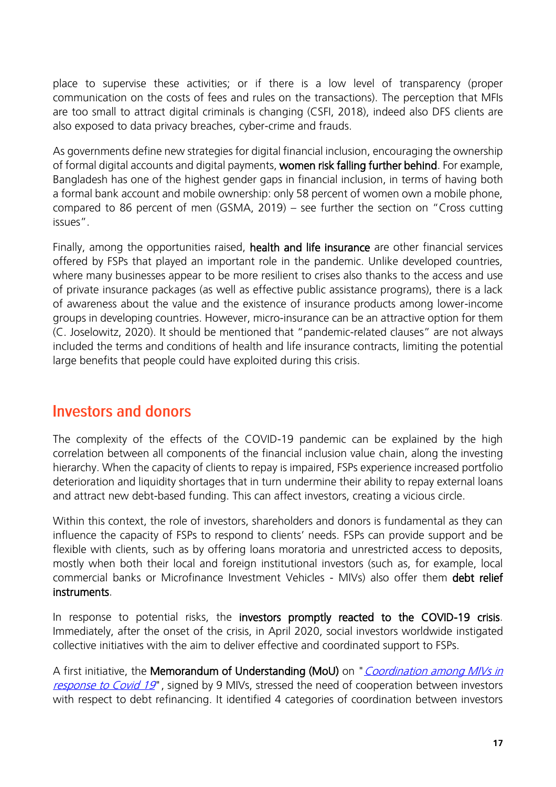place to supervise these activities; or if there is a low level of transparency (proper communication on the costs of fees and rules on the transactions). The perception that MFIs are too small to attract digital criminals is changing (CSFI, 2018), indeed also DFS clients are also exposed to data privacy breaches, cyber-crime and frauds.

As governments define new strategies for digital financial inclusion, encouraging the ownership of formal digital accounts and digital payments, women risk falling further behind. For example, Bangladesh has one of the highest gender gaps in financial inclusion, in terms of having both a formal bank account and mobile ownership: only 58 percent of women own a mobile phone, compared to 86 percent of men (GSMA, 2019) – see further the section on "Cross cutting issues".

Finally, among the opportunities raised, health and life insurance are other financial services offered by FSPs that played an important role in the pandemic. Unlike developed countries, where many businesses appear to be more resilient to crises also thanks to the access and use of private insurance packages (as well as effective public assistance programs), there is a lack of awareness about the value and the existence of insurance products among lower-income groups in developing countries. However, micro-insurance can be an attractive option for them (C. Joselowitz, 2020). It should be mentioned that "pandemic-related clauses" are not always included the terms and conditions of health and life insurance contracts, limiting the potential large benefits that people could have exploited during this crisis.

### <span id="page-16-0"></span>**Investors and donors**

The complexity of the effects of the COVID-19 pandemic can be explained by the high correlation between all components of the financial inclusion value chain, along the investing hierarchy. When the capacity of clients to repay is impaired, FSPs experience increased portfolio deterioration and liquidity shortages that in turn undermine their ability to repay external loans and attract new debt-based funding. This can affect investors, creating a vicious circle.

Within this context, the role of investors, shareholders and donors is fundamental as they can influence the capacity of FSPs to respond to clients' needs. FSPs can provide support and be flexible with clients, such as by offering loans moratoria and unrestricted access to deposits, mostly when both their local and foreign institutional investors (such as, for example, local commercial banks or Microfinance Investment Vehicles - MIVs) also offer them debt relief instruments.

In response to potential risks, the investors promptly reacted to the COVID-19 crisis. Immediately, after the onset of the crisis, in April 2020, social investors worldwide instigated collective initiatives with the aim to deliver effective and coordinated support to FSPs.

A first initiative, the Memorandum of Understanding (MoU) on "*Coordination among MIVs in* [response to Covid 19](http://www.e-mfp.eu/sites/default/files/news2020/2020-04-24%20MIV%20Covid-19%20coordination%20MoU.pdf)", signed by 9 MIVs, stressed the need of cooperation between investors with respect to debt refinancing. It identified 4 categories of coordination between investors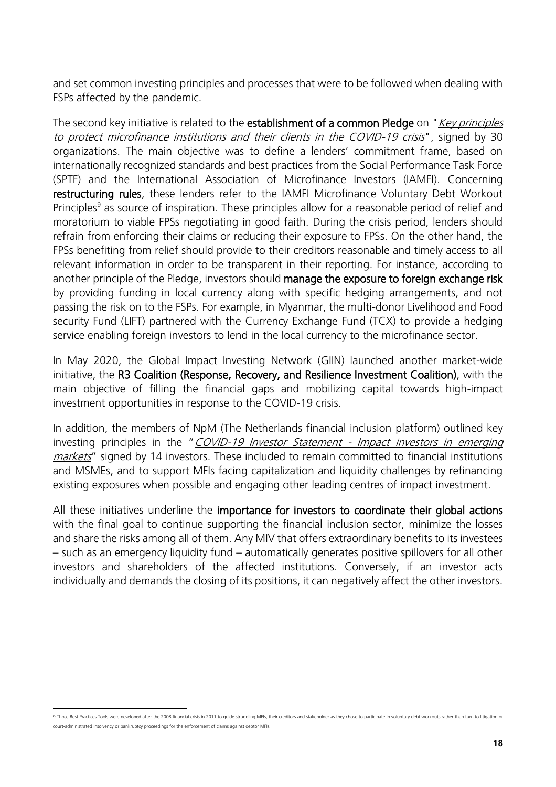and set common investing principles and processes that were to be followed when dealing with FSPs affected by the pandemic.

The second key initiative is related to the **establishment of a common Pledge** on "*Key principles* [to protect microfinance institutions and their clients in the COVID-19 crisis](https://www.lmdf.lu/wp-content/uploads/2020/07/2020_Principles-to-protect-MFIs-and-their-clients-in-COVID-19-crisis.pdf)", signed by 30 organizations. The main objective was to define a lenders' commitment frame, based on internationally recognized standards and best practices from the Social Performance Task Force (SPTF) and the International Association of Microfinance Investors (IAMFI). Concerning restructuring rules, these lenders refer to the IAMFI Microfinance Voluntary Debt Workout Principles<sup>9</sup> as source of inspiration. These principles allow for a reasonable period of relief and moratorium to viable FPSs negotiating in good faith. During the crisis period, lenders should refrain from enforcing their claims or reducing their exposure to FPSs. On the other hand, the FPSs benefiting from relief should provide to their creditors reasonable and timely access to all relevant information in order to be transparent in their reporting. For instance, according to another principle of the Pledge, investors should manage the exposure to foreign exchange risk by providing funding in local currency along with specific hedging arrangements, and not passing the risk on to the FSPs. For example, in Myanmar, the multi-donor Livelihood and Food security Fund (LIFT) partnered with the Currency Exchange Fund (TCX) to provide a hedging service enabling foreign investors to lend in the local currency to the microfinance sector.

In May 2020, the Global Impact Investing Network (GIIN) launched another market-wide initiative, the R3 Coalition (Response, Recovery, and Resilience Investment Coalition), with the main objective of filling the financial gaps and mobilizing capital towards high-impact investment opportunities in response to the COVID-19 crisis.

In addition, the members of NpM (The Netherlands financial inclusion platform) outlined key investing principles in the "COVID-19 Investor Statement - Impact investors in emerging [markets](https://www.inclusivefinanceplatform.nl/wp-content/uploads/2020/04/COVID-19-MS-V3-1.pdf)" signed by 14 investors. These included to remain committed to financial institutions and MSMEs, and to support MFIs facing capitalization and liquidity challenges by refinancing existing exposures when possible and engaging other leading centres of impact investment.

All these initiatives underline the importance for investors to coordinate their global actions with the final goal to continue supporting the financial inclusion sector, minimize the losses and share the risks among all of them. Any MIV that offers extraordinary benefits to its investees – such as an emergency liquidity fund – automatically generates positive spillovers for all other investors and shareholders of the affected institutions. Conversely, if an investor acts individually and demands the closing of its positions, it can negatively affect the other investors.

<sup>9</sup> Thos[e Best Practices Tools](https://www.findevgateway.org/sites/default/files/publications/files/mfg-en-paper-charting-the-course-best-practices-and-tools-for-voluntary-debt-restructuring-in-microfinance-feb-2011.pdf) were developed after the 2008 financial crisis in 2011 to quide struggling MFIs, their creditors and stakeholder as they chose to participate in voluntary debt workouts rather than turn to liti court-administrated insolvency or bankruptcy proceedings for the enforcement of claims against debtor MFIs.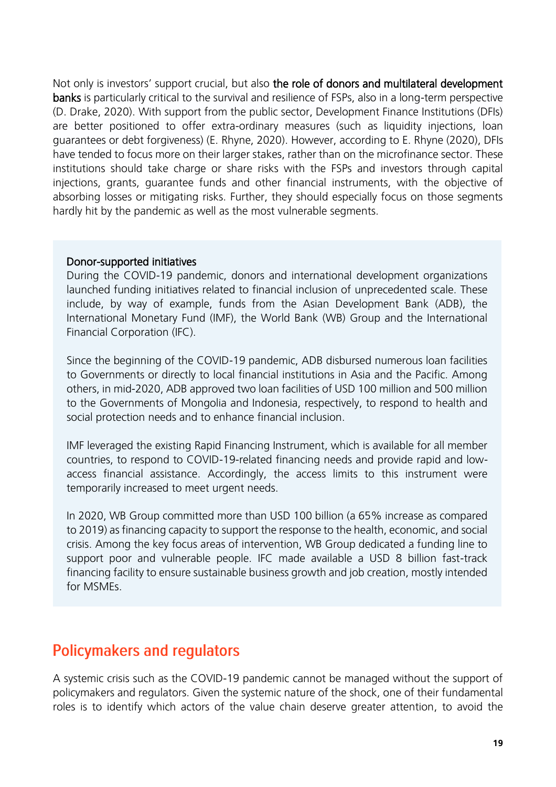Not only is investors' support crucial, but also the role of donors and multilateral development banks is particularly critical to the survival and resilience of FSPs, also in a long-term perspective (D. Drake, 2020). With support from the public sector, Development Finance Institutions (DFIs) are better positioned to offer extra-ordinary measures (such as liquidity injections, loan guarantees or debt forgiveness) (E. Rhyne, 2020). However, according to E. Rhyne (2020), DFIs have tended to focus more on their larger stakes, rather than on the microfinance sector. These institutions should take charge or share risks with the FSPs and investors through capital injections, grants, guarantee funds and other financial instruments, with the objective of absorbing losses or mitigating risks. Further, they should especially focus on those segments hardly hit by the pandemic as well as the most vulnerable segments.

#### Donor-supported initiatives

During the COVID-19 pandemic, donors and international development organizations launched funding initiatives related to financial inclusion of unprecedented scale. These include, by way of example, funds from the Asian Development Bank (ADB), the International Monetary Fund (IMF), the World Bank (WB) Group and the International Financial Corporation (IFC).

Since the beginning of the COVID-19 pandemic, ADB disbursed numerous loan facilities to Governments or directly to local financial institutions in Asia and the Pacific. Among others, in mid-2020, ADB approved two loan facilities of USD 100 million and 500 million to the Governments of Mongolia and Indonesia, respectively, to respond to health and social protection needs and to enhance financial inclusion.

IMF leveraged the existing Rapid Financing Instrument, which is available for all member countries, to respond to COVID-19-related financing needs and provide rapid and lowaccess financial assistance. Accordingly, the access limits to this instrument were temporarily increased to meet urgent needs.

In 2020, WB Group committed more than USD 100 billion (a 65% increase as compared to 2019) as financing capacity to support the response to the health, economic, and social crisis. Among the key focus areas of intervention, WB Group dedicated a funding line to support poor and vulnerable people. IFC made available a USD 8 billion fast-track financing facility to ensure sustainable business growth and job creation, mostly intended for MSMEs.

### <span id="page-18-0"></span>**Policymakers and regulators**

A systemic crisis such as the COVID-19 pandemic cannot be managed without the support of policymakers and regulators. Given the systemic nature of the shock, one of their fundamental roles is to identify which actors of the value chain deserve greater attention, to avoid the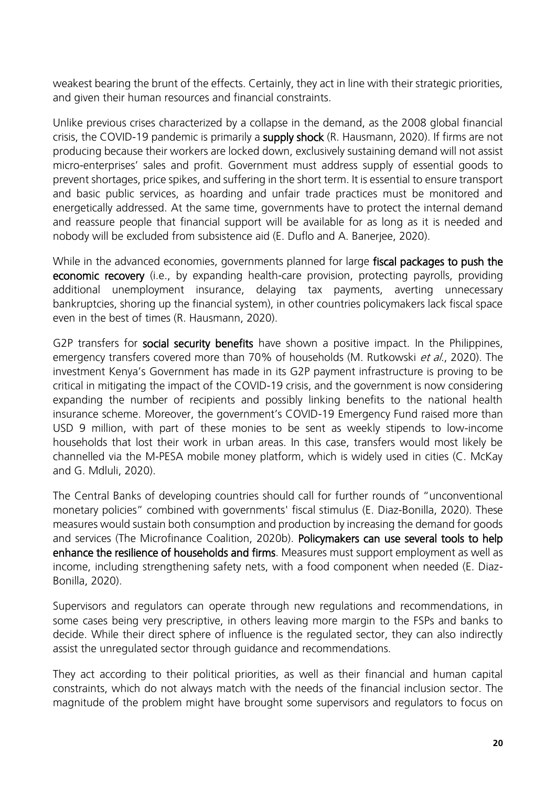weakest bearing the brunt of the effects. Certainly, they act in line with their strategic priorities, and given their human resources and financial constraints.

Unlike previous crises characterized by a collapse in the demand, as the 2008 global financial crisis, the COVID-19 pandemic is primarily a **supply shock** (R. Hausmann, 2020). If firms are not producing because their workers are locked down, exclusively sustaining demand will not assist micro-enterprises' sales and profit. Government must address supply of essential goods to prevent shortages, price spikes, and suffering in the short term. It is essential to ensure transport and basic public services, as hoarding and unfair trade practices must be monitored and energetically addressed. At the same time, governments have to protect the internal demand and reassure people that financial support will be available for as long as it is needed and nobody will be excluded from subsistence aid (E. Duflo and A. Banerjee, 2020).

While in the advanced economies, governments planned for large fiscal packages to push the economic recovery (i.e., by expanding health-care provision, protecting payrolls, providing additional unemployment insurance, delaying tax payments, averting unnecessary bankruptcies, shoring up the financial system), in other countries policymakers lack fiscal space even in the best of times (R. Hausmann, 2020).

G2P transfers for **social security benefits** have shown a positive impact. In the Philippines, emergency transfers covered more than 70% of households (M. Rutkowski et al., 2020). The investment Kenya's Government has made in its G2P payment infrastructure is proving to be critical in mitigating the impact of the COVID-19 crisis, and the government is now considering expanding the number of recipients and possibly linking benefits to the national health insurance scheme. Moreover, the government's COVID-19 Emergency Fund raised more than USD 9 million, with part of these monies to be sent as weekly stipends to low-income households that lost their work in urban areas. In this case, transfers would most likely be channelled via the M-PESA mobile money platform, which is widely used in cities (C. McKay and G. Mdluli, 2020).

The Central Banks of developing countries should call for further rounds of "unconventional monetary policies" combined with governments' fiscal stimulus (E. Diaz-Bonilla, 2020). These measures would sustain both consumption and production by increasing the demand for goods and services (The Microfinance Coalition, 2020b). Policymakers can use several tools to help enhance the resilience of households and firms. Measures must support employment as well as income, including strengthening safety nets, with a food component when needed (E. Diaz-Bonilla, 2020).

Supervisors and regulators can operate through new regulations and recommendations, in some cases being very prescriptive, in others leaving more margin to the FSPs and banks to decide. While their direct sphere of influence is the regulated sector, they can also indirectly assist the unregulated sector through guidance and recommendations.

They act according to their political priorities, as well as their financial and human capital constraints, which do not always match with the needs of the financial inclusion sector. The magnitude of the problem might have brought some supervisors and regulators to focus on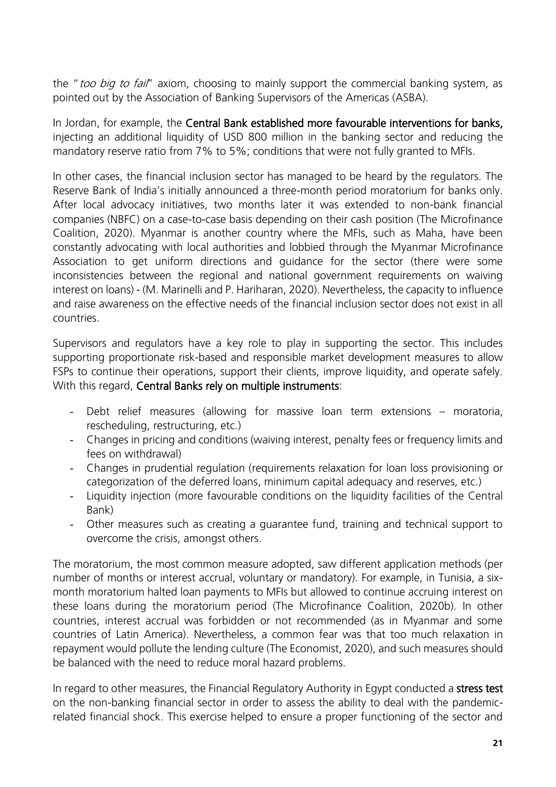the "too big to fail" axiom, choosing to mainly support the commercial banking system, as pointed out by the Association of Banking Supervisors of the Americas (ASBA).

In Jordan, for example, the Central Bank established more favourable interventions for banks, injecting an additional liquidity of USD 800 million in the banking sector and reducing the mandatory reserve ratio from 7% to 5%; conditions that were not fully granted to MFIs.

In other cases, the financial inclusion sector has managed to be heard by the regulators. The Reserve Bank of India's initially announced a three-month period moratorium for banks only. After local advocacy initiatives, two months later it was extended to non-bank financial companies (NBFC) on a case-to-case basis depending on their cash position (The Microfinance Coalition, 2020). Myanmar is another country where the MFIs, such as Maha, have been constantly advocating with local authorities and lobbied through the Myanmar Microfinance Association to get uniform directions and guidance for the sector (there were some inconsistencies between the regional and national government requirements on waiving interest on loans) - (M. Marinelli and P. Hariharan, 2020). Nevertheless, the capacity to influence and raise awareness on the effective needs of the financial inclusion sector does not exist in all countries.

Supervisors and regulators have a key role to play in supporting the sector. This includes supporting proportionate risk-based and responsible market development measures to allow FSPs to continue their operations, support their clients, improve liquidity, and operate safely. With this regard, Central Banks rely on multiple instruments:

- Debt relief measures (allowing for massive loan term extensions moratoria, rescheduling, restructuring, etc.)
- Changes in pricing and conditions (waiving interest, penalty fees or frequency limits and fees on withdrawal)
- Changes in prudential regulation (requirements relaxation for loan loss provisioning or categorization of the deferred loans, minimum capital adequacy and reserves, etc.)
- Liquidity injection (more favourable conditions on the liquidity facilities of the Central Bank)
- Other measures such as creating a guarantee fund, training and technical support to overcome the crisis, amongst others.

The moratorium, the most common measure adopted, saw different application methods (per number of months or interest accrual, voluntary or mandatory). For example, in Tunisia, a sixmonth moratorium halted loan payments to MFIs but allowed to continue accruing interest on these loans during the moratorium period (The Microfinance Coalition, 2020b). In other countries, interest accrual was forbidden or not recommended (as in Myanmar and some countries of Latin America). Nevertheless, a common fear was that too much relaxation in repayment would pollute the lending culture (The Economist, 2020), and such measures should be balanced with the need to reduce moral hazard problems.

In regard to other measures, the Financial Regulatory Authority in Egypt conducted a stress test on the non-banking financial sector in order to assess the ability to deal with the pandemicrelated financial shock. This exercise helped to ensure a proper functioning of the sector and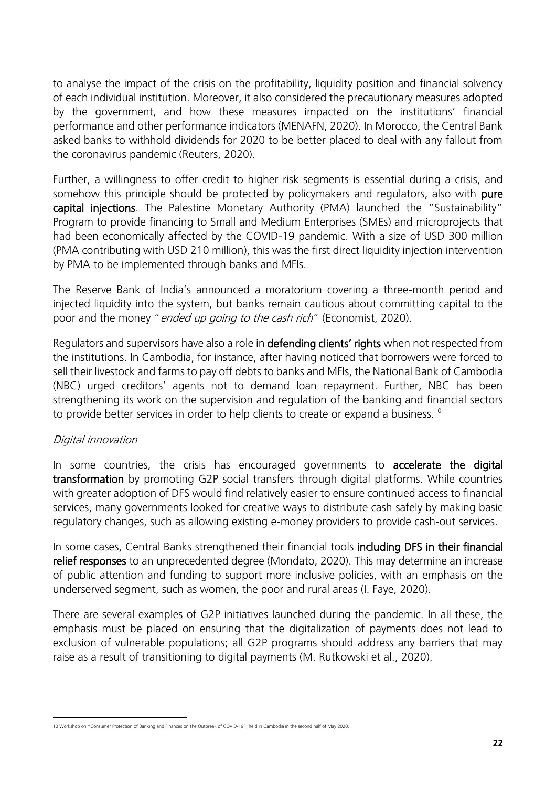to analyse the impact of the crisis on the profitability, liquidity position and financial solvency of each individual institution. Moreover, it also considered the precautionary measures adopted by the government, and how these measures impacted on the institutions' financial performance and other performance indicators (MENAFN, 2020). In Morocco, the Central Bank asked banks to withhold dividends for 2020 to be better placed to deal with any fallout from the coronavirus pandemic (Reuters, 2020).

Further, a willingness to offer credit to higher risk segments is essential during a crisis, and somehow this principle should be protected by policymakers and regulators, also with pure capital injections. The Palestine Monetary Authority (PMA) launched the "Sustainability" Program to provide financing to Small and Medium Enterprises (SMEs) and microprojects that had been economically affected by the COVID-19 pandemic. With a size of USD 300 million (PMA contributing with USD 210 million), this was the first direct liquidity injection intervention by PMA to be implemented through banks and MFIs.

The Reserve Bank of India's announced a moratorium covering a three-month period and injected liquidity into the system, but banks remain cautious about committing capital to the poor and the money "*ended up going to the cash rich*" (Economist, 2020).

Regulators and supervisors have also a role in **defending clients' rights** when not respected from the institutions. In Cambodia, for instance, after having noticed that borrowers were forced to sell their livestock and farms to pay off debts to banks and MFIs, the National Bank of Cambodia (NBC) urged creditors' agents not to demand loan repayment. Further, NBC has been strengthening its work on the supervision and regulation of the banking and financial sectors to provide better services in order to help clients to create or expand a business. $^{10}$ 

#### Digital innovation

In some countries, the crisis has encouraged governments to **accelerate the digital** transformation by promoting G2P social transfers through digital platforms. While countries with greater adoption of DFS would find relatively easier to ensure continued access to financial services, many governments looked for creative ways to distribute cash safely by making basic regulatory changes, such as allowing existing e-money providers to provide cash-out services.

In some cases, Central Banks strengthened their financial tools including DFS in their financial relief responses to an unprecedented degree (Mondato, 2020). This may determine an increase of public attention and funding to support more inclusive policies, with an emphasis on the underserved segment, such as women, the poor and rural areas (I. Faye, 2020).

There are several examples of G2P initiatives launched during the pandemic. In all these, the emphasis must be placed on ensuring that the digitalization of payments does not lead to exclusion of vulnerable populations; all G2P programs should address any barriers that may raise as a result of transitioning to digital payments (M. Rutkowski et al., 2020).

<sup>10</sup> Workshop on "Consumer Protection of Banking and Finances on the Outbreak of COVID-19", held in Cambodia in the second half of May 2020.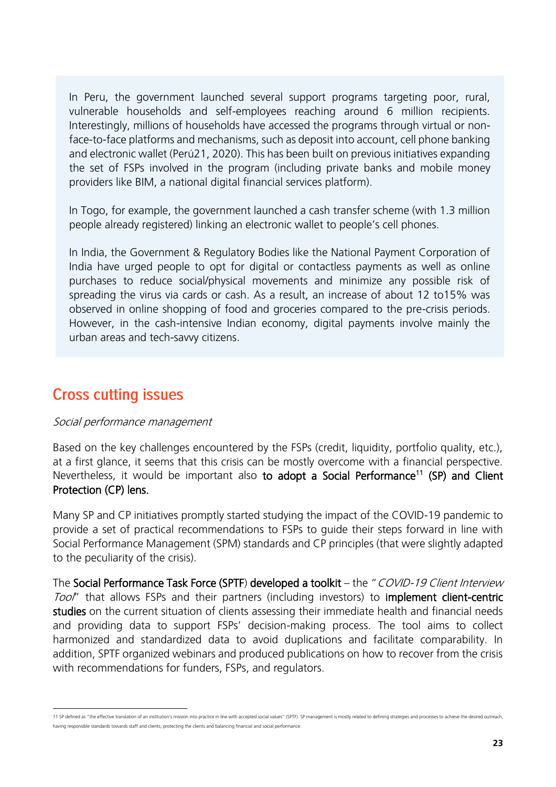In Peru, the government launched several support programs targeting poor, rural, vulnerable households and self-employees reaching around 6 million recipients. Interestingly, millions of households have accessed the programs through virtual or nonface-to-face platforms and mechanisms, such as deposit into account, cell phone banking and electronic wallet (Perú21, 2020). This has been built on previous initiatives expanding the set of FSPs involved in the program (including private banks and mobile money providers like BIM, a national digital financial services platform).

In Togo, for example, the government launched a cash transfer scheme (with 1.3 million people already registered) linking an electronic wallet to people's cell phones.

In India, the Government & Regulatory Bodies like the National Payment Corporation of India have urged people to opt for digital or contactless payments as well as online purchases to reduce social/physical movements and minimize any possible risk of spreading the virus via cards or cash. As a result, an increase of about 12 to15% was observed in online shopping of food and groceries compared to the pre-crisis periods. However, in the cash-intensive Indian economy, digital payments involve mainly the urban areas and tech-savvy citizens.

### <span id="page-22-0"></span>**Cross cutting issues**

#### Social performance management

Based on the key challenges encountered by the FSPs (credit, liquidity, portfolio quality, etc.), at a first glance, it seems that this crisis can be mostly overcome with a financial perspective. Nevertheless, it would be important also to adopt a Social Performance<sup>11</sup> (SP) and Client Protection (CP) lens.

Many SP and CP initiatives promptly started studying the impact of the COVID-19 pandemic to provide a set of practical recommendations to FSPs to guide their steps forward in line with Social Performance Management (SPM) standards and CP principles (that were slightly adapted to the peculiarity of the crisis).

The Social Performance Task Force (SPTF) developed a toolkit – the "COVID-19 Client Interview Tool" that allows FSPs and their partners (including investors) to **implement client-centric** studies on the current situation of clients assessing their immediate health and financial needs and providing data to support FSPs' decision-making process. The tool aims to collect harmonized and standardized data to avoid duplications and facilitate comparability. In addition, SPTF organized webinars and produced publications on how to recover from the crisis with recommendations for funders, FSPs, and regulators.

<sup>11</sup> SP defined as "the effective translation of an institution's mission into practice in line with accepted social values" (SPTF). SP management is mostly related to defining strategies and processes to achieve the desired having responsible standards towards staff and clients, protecting the clients and balancing financial and social performance.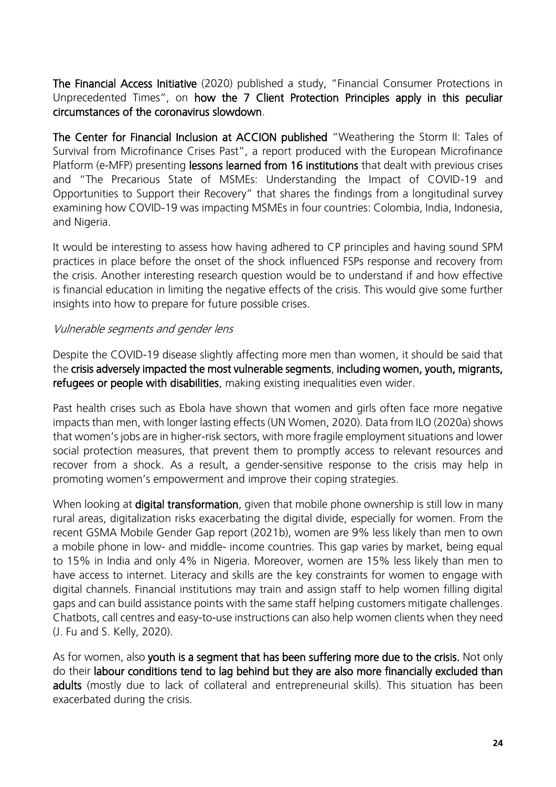The Financial Access Initiative (2020) published a study, "Financial Consumer Protections in Unprecedented Times", on how the 7 Client Protection Principles apply in this peculiar circumstances of the coronavirus slowdown.

The Center for Financial Inclusion at ACCION published "Weathering the Storm II: Tales of Survival from Microfinance Crises Past", a report produced with the European Microfinance Platform (e-MFP) presenting lessons learned from 16 institutions that dealt with previous crises and "The Precarious State of MSMEs: Understanding the Impact of COVID-19 and Opportunities to Support their Recovery" that shares the findings from a longitudinal survey examining how COVID-19 was impacting MSMEs in four countries: Colombia, India, Indonesia, and Nigeria.

It would be interesting to assess how having adhered to CP principles and having sound SPM practices in place before the onset of the shock influenced FSPs response and recovery from the crisis. Another interesting research question would be to understand if and how effective is financial education in limiting the negative effects of the crisis. This would give some further insights into how to prepare for future possible crises.

#### Vulnerable segments and gender lens

Despite the COVID-19 disease slightly affecting more men than women, it should be said that the crisis adversely impacted the most vulnerable segments, including women, youth, migrants, refugees or people with disabilities, making existing inequalities even wider.

Past health crises such as Ebola have shown that women and girls often face more negative impacts than men, with longer lasting effects (UN Women, 2020). Data from ILO (2020a) shows that women's jobs are in higher-risk sectors, with more fragile employment situations and lower social protection measures, that prevent them to promptly access to relevant resources and recover from a shock. As a result, a gender-sensitive response to the crisis may help in promoting women's empowerment and improve their coping strategies.

When looking at **digital transformation**, given that mobile phone ownership is still low in many rural areas, digitalization risks exacerbating the digital divide, especially for women. From the recent GSMA Mobile Gender Gap report (2021b), women are 9% less likely than men to own a mobile phone in low- and middle- income countries. This gap varies by market, being equal to 15% in India and only 4% in Nigeria. Moreover, women are 15% less likely than men to have access to internet. Literacy and skills are the key constraints for women to engage with digital channels. Financial institutions may train and assign staff to help women filling digital gaps and can build assistance points with the same staff helping customers mitigate challenges. Chatbots, call centres and easy-to-use instructions can also help women clients when they need (J. Fu and S. Kelly, 2020).

As for women, also youth is a segment that has been suffering more due to the crisis. Not only do their labour conditions tend to lag behind but they are also more financially excluded than adults (mostly due to lack of collateral and entrepreneurial skills). This situation has been exacerbated during the crisis.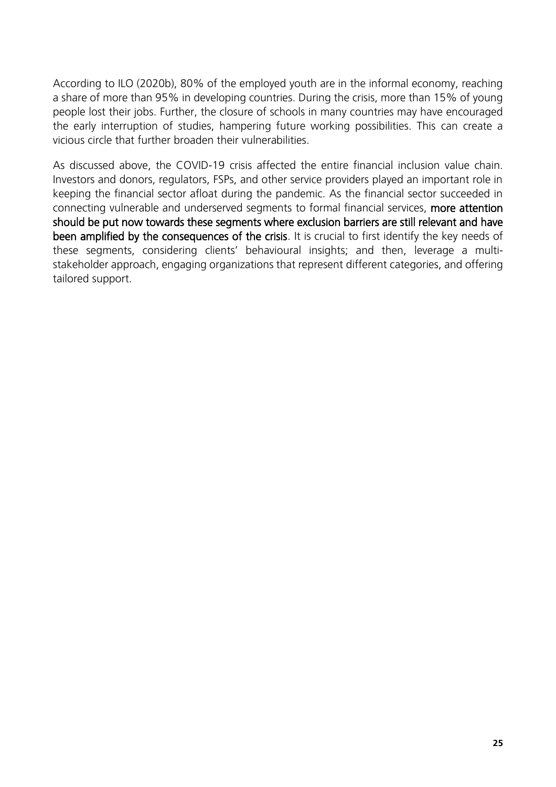According to ILO (2020b), 80% of the employed youth are in the informal economy, reaching a share of more than 95% in developing countries. During the crisis, more than 15% of young people lost their jobs. Further, the closure of schools in many countries may have encouraged the early interruption of studies, hampering future working possibilities. This can create a vicious circle that further broaden their vulnerabilities.

As discussed above, the COVID-19 crisis affected the entire financial inclusion value chain. Investors and donors, regulators, FSPs, and other service providers played an important role in keeping the financial sector afloat during the pandemic. As the financial sector succeeded in connecting vulnerable and underserved segments to formal financial services, more attention should be put now towards these segments where exclusion barriers are still relevant and have been amplified by the consequences of the crisis. It is crucial to first identify the key needs of these segments, considering clients' behavioural insights; and then, leverage a multistakeholder approach, engaging organizations that represent different categories, and offering tailored support.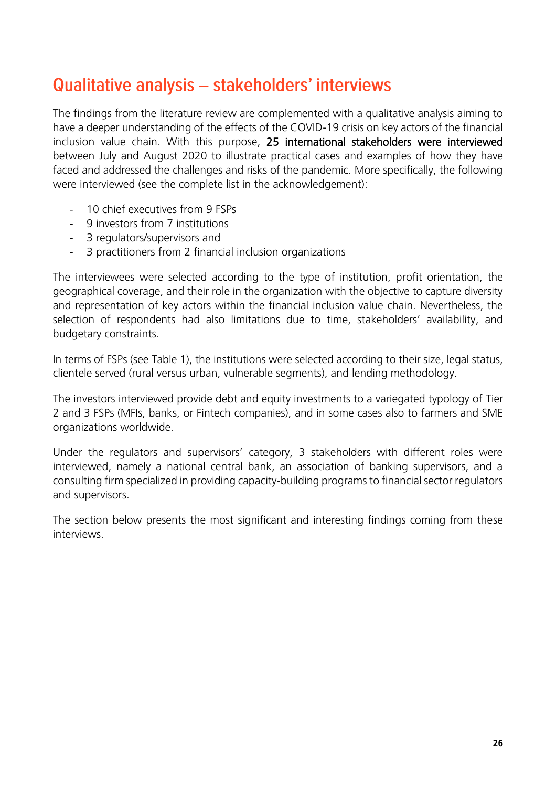## <span id="page-25-0"></span>Qualitative analysis - stakeholders' interviews

The findings from the literature review are complemented with a qualitative analysis aiming to have a deeper understanding of the effects of the COVID-19 crisis on key actors of the financial inclusion value chain. With this purpose, 25 international stakeholders were interviewed between July and August 2020 to illustrate practical cases and examples of how they have faced and addressed the challenges and risks of the pandemic. More specifically, the following were interviewed (see the complete list in the acknowledgement):

- 10 chief executives from 9 FSPs
- 9 investors from 7 institutions
- 3 regulators/supervisors and
- 3 practitioners from 2 financial inclusion organizations

The interviewees were selected according to the type of institution, profit orientation, the geographical coverage, and their role in the organization with the objective to capture diversity and representation of key actors within the financial inclusion value chain. Nevertheless, the selection of respondents had also limitations due to time, stakeholders' availability, and budgetary constraints.

In terms of FSPs (see Table 1), the institutions were selected according to their size, legal status, clientele served (rural versus urban, vulnerable segments), and lending methodology.

The investors interviewed provide debt and equity investments to a variegated typology of Tier 2 and 3 FSPs (MFIs, banks, or Fintech companies), and in some cases also to farmers and SME organizations worldwide.

Under the regulators and supervisors' category, 3 stakeholders with different roles were interviewed, namely a national central bank, an association of banking supervisors, and a consulting firm specialized in providing capacity-building programs to financial sector regulators and supervisors.

The section below presents the most significant and interesting findings coming from these interviews.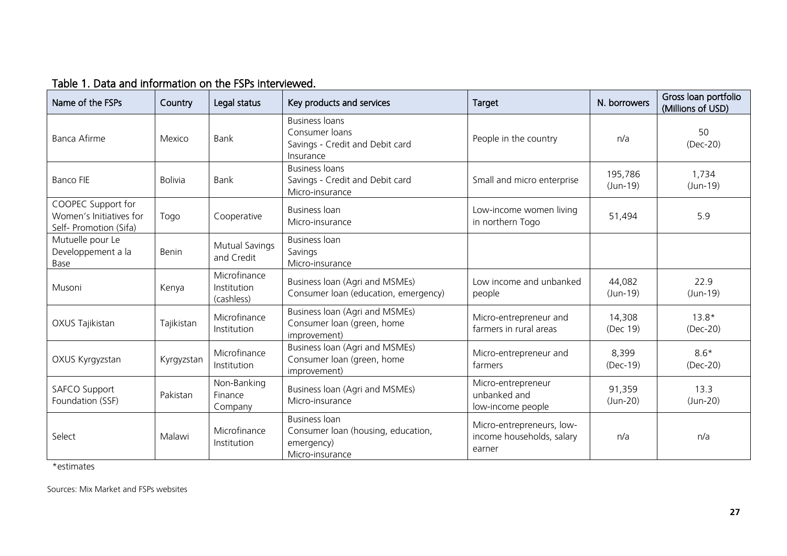| Name of the FSPs                                                        | Country        | Legal status                              | Key products and services                                                                   | Target                                                           | N. borrowers          | Gross loan portfolio<br>(Millions of USD) |
|-------------------------------------------------------------------------|----------------|-------------------------------------------|---------------------------------------------------------------------------------------------|------------------------------------------------------------------|-----------------------|-------------------------------------------|
| <b>Banca Afirme</b>                                                     | Mexico         | Bank                                      | <b>Business loans</b><br>Consumer loans<br>Savings - Credit and Debit card<br>Insurance     | People in the country                                            | n/a                   | 50<br>(Dec-20)                            |
| <b>Banco FIE</b>                                                        | <b>Bolivia</b> | Bank                                      | <b>Business loans</b><br>Savings - Credit and Debit card<br>Micro-insurance                 | Small and micro enterprise                                       | 195,786<br>$(Jun-19)$ | 1,734<br>$(Jun-19)$                       |
| COOPEC Support for<br>Women's Initiatives for<br>Self- Promotion (Sifa) | Togo           | Cooperative                               | <b>Business loan</b><br>Micro-insurance                                                     | Low-income women living<br>in northern Togo                      | 51,494                | 5.9                                       |
| Mutuelle pour Le<br>Developpement a la<br>Base                          | Benin          | <b>Mutual Savings</b><br>and Credit       | <b>Business loan</b><br>Savings<br>Micro-insurance                                          |                                                                  |                       |                                           |
| Musoni                                                                  | Kenya          | Microfinance<br>Institution<br>(cashless) | Business Ioan (Agri and MSMEs)<br>Consumer loan (education, emergency)                      | Low income and unbanked<br>people                                | 44,082<br>$(Jun-19)$  | 22.9<br>$(Jun-19)$                        |
| OXUS Tajikistan                                                         | Tajikistan     | Microfinance<br>Institution               | Business loan (Agri and MSMEs)<br>Consumer loan (green, home<br>improvement)                | Micro-entrepreneur and<br>farmers in rural areas                 | 14,308<br>(Dec 19)    | $13.8*$<br>$(Dec-20)$                     |
| OXUS Kyrgyzstan                                                         | Kyrgyzstan     | Microfinance<br>Institution               | Business loan (Agri and MSMEs)<br>Consumer loan (green, home<br>improvement)                | Micro-entrepreneur and<br>farmers                                | 8,399<br>$(Dec-19)$   | $8.6*$<br>$(Dec-20)$                      |
| <b>SAFCO Support</b><br>Foundation (SSF)                                | Pakistan       | Non-Banking<br>Finance<br>Company         | Business Ioan (Agri and MSMEs)<br>Micro-insurance                                           | Micro-entrepreneur<br>unbanked and<br>low-income people          | 91,359<br>$(Jun-20)$  | 13.3<br>$(Jun-20)$                        |
| Select                                                                  | Malawi         | Microfinance<br>Institution               | <b>Business loan</b><br>Consumer loan (housing, education,<br>emergency)<br>Micro-insurance | Micro-entrepreneurs, low-<br>income households, salary<br>earner | n/a                   | n/a                                       |

#### Table 1. Data and information on the FSPs interviewed.

\*estimates

Sources: Mix Market and FSPs websites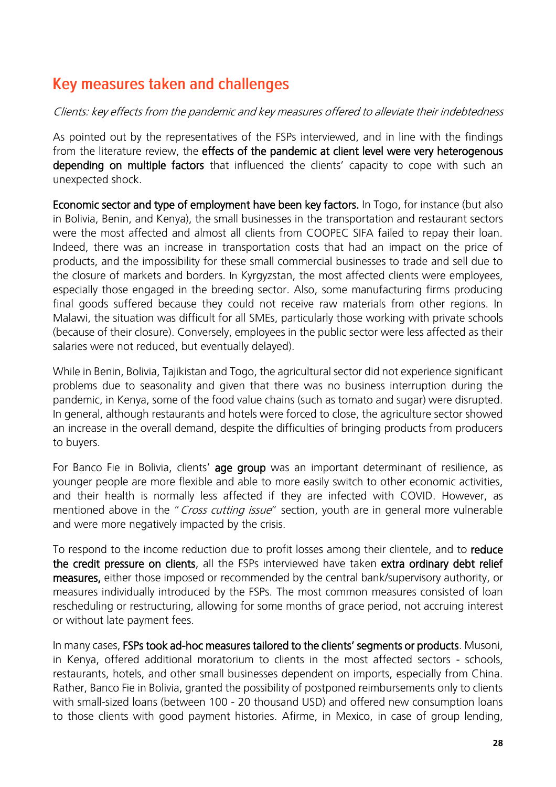## <span id="page-27-0"></span>Key measures taken and challenges

#### Clients: key effects from the pandemic and key measures offered to alleviate their indebtedness

As pointed out by the representatives of the FSPs interviewed, and in line with the findings from the literature review, the effects of the pandemic at client level were very heterogenous depending on multiple factors that influenced the clients' capacity to cope with such an unexpected shock.

Economic sector and type of employment have been key factors. In Togo, for instance (but also in Bolivia, Benin, and Kenya), the small businesses in the transportation and restaurant sectors were the most affected and almost all clients from COOPEC SIFA failed to repay their loan. Indeed, there was an increase in transportation costs that had an impact on the price of products, and the impossibility for these small commercial businesses to trade and sell due to the closure of markets and borders. In Kyrgyzstan, the most affected clients were employees, especially those engaged in the breeding sector. Also, some manufacturing firms producing final goods suffered because they could not receive raw materials from other regions. In Malawi, the situation was difficult for all SMEs, particularly those working with private schools (because of their closure). Conversely, employees in the public sector were less affected as their salaries were not reduced, but eventually delayed).

While in Benin, Bolivia, Tajikistan and Togo, the agricultural sector did not experience significant problems due to seasonality and given that there was no business interruption during the pandemic, in Kenya, some of the food value chains (such as tomato and sugar) were disrupted. In general, although restaurants and hotels were forced to close, the agriculture sector showed an increase in the overall demand, despite the difficulties of bringing products from producers to buyers.

For Banco Fie in Bolivia, clients' age group was an important determinant of resilience, as younger people are more flexible and able to more easily switch to other economic activities, and their health is normally less affected if they are infected with COVID. However, as mentioned above in the "Cross cutting issue" section, youth are in general more vulnerable and were more negatively impacted by the crisis.

To respond to the income reduction due to profit losses among their clientele, and to reduce the credit pressure on clients, all the FSPs interviewed have taken extra ordinary debt relief measures, either those imposed or recommended by the central bank/supervisory authority, or measures individually introduced by the FSPs. The most common measures consisted of loan rescheduling or restructuring, allowing for some months of grace period, not accruing interest or without late payment fees.

In many cases, FSPs took ad-hoc measures tailored to the clients' segments or products. Musoni, in Kenya, offered additional moratorium to clients in the most affected sectors - schools, restaurants, hotels, and other small businesses dependent on imports, especially from China. Rather, Banco Fie in Bolivia, granted the possibility of postponed reimbursements only to clients with small-sized loans (between 100 - 20 thousand USD) and offered new consumption loans to those clients with good payment histories. Afirme, in Mexico, in case of group lending,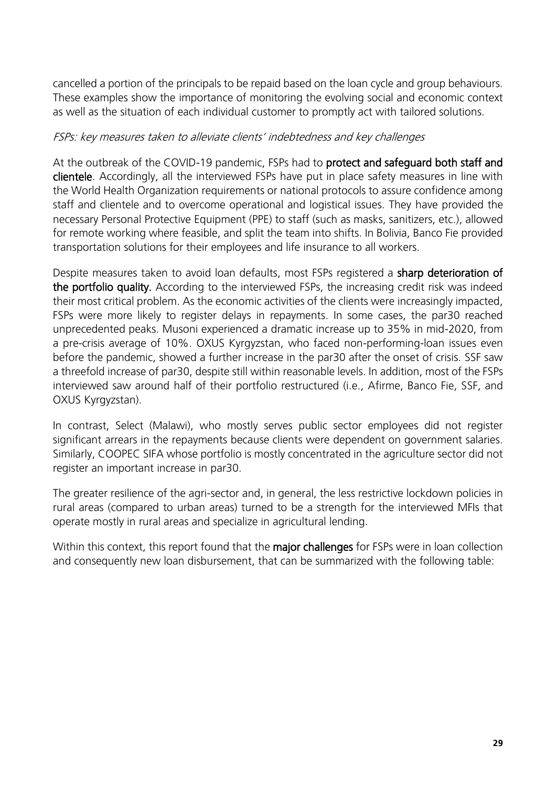cancelled a portion of the principals to be repaid based on the loan cycle and group behaviours. These examples show the importance of monitoring the evolving social and economic context as well as the situation of each individual customer to promptly act with tailored solutions.

#### FSPs: key measures taken to alleviate clients' indebtedness and key challenges

At the outbreak of the COVID-19 pandemic, FSPs had to protect and safeguard both staff and clientele. Accordingly, all the interviewed FSPs have put in place safety measures in line with the World Health Organization requirements or national protocols to assure confidence among staff and clientele and to overcome operational and logistical issues. They have provided the necessary Personal Protective Equipment (PPE) to staff (such as masks, sanitizers, etc.), allowed for remote working where feasible, and split the team into shifts. In Bolivia, Banco Fie provided transportation solutions for their employees and life insurance to all workers.

Despite measures taken to avoid loan defaults, most FSPs registered a sharp deterioration of the portfolio quality. According to the interviewed FSPs, the increasing credit risk was indeed their most critical problem. As the economic activities of the clients were increasingly impacted, FSPs were more likely to register delays in repayments. In some cases, the par30 reached unprecedented peaks. Musoni experienced a dramatic increase up to 35% in mid-2020, from a pre-crisis average of 10%. OXUS Kyrgyzstan, who faced non-performing-loan issues even before the pandemic, showed a further increase in the par30 after the onset of crisis. SSF saw a threefold increase of par30, despite still within reasonable levels. In addition, most of the FSPs interviewed saw around half of their portfolio restructured (i.e., Afirme, Banco Fie, SSF, and OXUS Kyrgyzstan).

In contrast, Select (Malawi), who mostly serves public sector employees did not register significant arrears in the repayments because clients were dependent on government salaries. Similarly, COOPEC SIFA whose portfolio is mostly concentrated in the agriculture sector did not register an important increase in par30.

The greater resilience of the agri-sector and, in general, the less restrictive lockdown policies in rural areas (compared to urban areas) turned to be a strength for the interviewed MFIs that operate mostly in rural areas and specialize in agricultural lending.

Within this context, this report found that the major challenges for FSPs were in loan collection and consequently new loan disbursement, that can be summarized with the following table: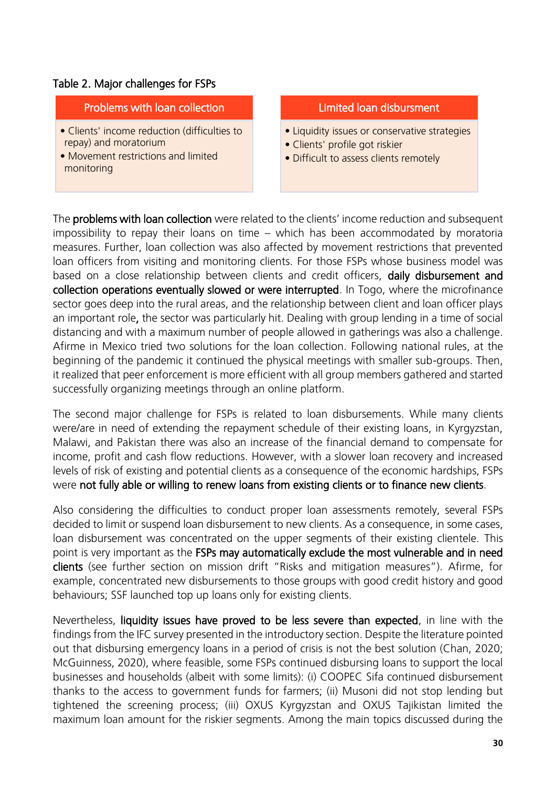#### Table 2. Major challenges for FSPs

#### Problems with loan collection

- Clients' income reduction (difficulties to repay) and moratorium
- Movement restrictions and limited monitoring

#### Limited loan disbursment

- Liquidity issues or conservative strategies
- Clients' profile got riskier
- Difficult to assess clients remotely

The **problems with loan collection** were related to the clients' income reduction and subsequent impossibility to repay their loans on time – which has been accommodated by moratoria measures. Further, loan collection was also affected by movement restrictions that prevented loan officers from visiting and monitoring clients. For those FSPs whose business model was based on a close relationship between clients and credit officers, daily disbursement and collection operations eventually slowed or were interrupted. In Togo, where the microfinance sector goes deep into the rural areas, and the relationship between client and loan officer plays an important role, the sector was particularly hit. Dealing with group lending in a time of social distancing and with a maximum number of people allowed in gatherings was also a challenge. Afirme in Mexico tried two solutions for the loan collection. Following national rules, at the beginning of the pandemic it continued the physical meetings with smaller sub-groups. Then, it realized that peer enforcement is more efficient with all group members gathered and started successfully organizing meetings through an online platform.

The second major challenge for FSPs is related to loan disbursements. While many clients were/are in need of extending the repayment schedule of their existing loans, in Kyrgyzstan, Malawi, and Pakistan there was also an increase of the financial demand to compensate for income, profit and cash flow reductions. However, with a slower loan recovery and increased levels of risk of existing and potential clients as a consequence of the economic hardships, FSPs were not fully able or willing to renew loans from existing clients or to finance new clients.

Also considering the difficulties to conduct proper loan assessments remotely, several FSPs decided to limit or suspend loan disbursement to new clients. As a consequence, in some cases, loan disbursement was concentrated on the upper segments of their existing clientele. This point is very important as the FSPs may automatically exclude the most vulnerable and in need clients (see further section on mission drift "Risks and mitigation measures"). Afirme, for example, concentrated new disbursements to those groups with good credit history and good behaviours; SSF launched top up loans only for existing clients.

Nevertheless, liquidity issues have proved to be less severe than expected, in line with the findings from the IFC survey presented in the introductory section. Despite the literature pointed out that disbursing emergency loans in a period of crisis is not the best solution (Chan, 2020; McGuinness, 2020), where feasible, some FSPs continued disbursing loans to support the local businesses and households (albeit with some limits): (i) COOPEC Sifa continued disbursement thanks to the access to government funds for farmers; (ii) Musoni did not stop lending but tightened the screening process; (iii) OXUS Kyrgyzstan and OXUS Tajikistan limited the maximum loan amount for the riskier segments. Among the main topics discussed during the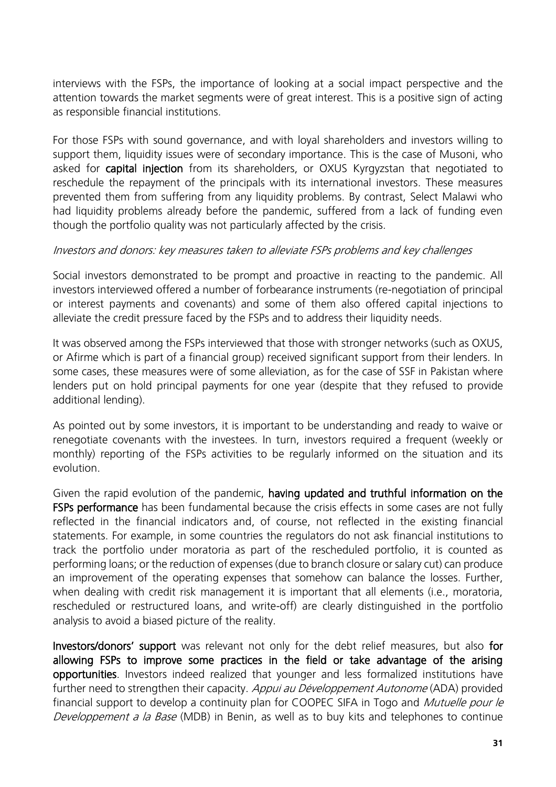interviews with the FSPs, the importance of looking at a social impact perspective and the attention towards the market segments were of great interest. This is a positive sign of acting as responsible financial institutions.

For those FSPs with sound governance, and with loyal shareholders and investors willing to support them, liquidity issues were of secondary importance. This is the case of Musoni, who asked for **capital injection** from its shareholders, or OXUS Kyrgyzstan that negotiated to reschedule the repayment of the principals with its international investors. These measures prevented them from suffering from any liquidity problems. By contrast, Select Malawi who had liquidity problems already before the pandemic, suffered from a lack of funding even though the portfolio quality was not particularly affected by the crisis.

#### Investors and donors: key measures taken to alleviate FSPs problems and key challenges

Social investors demonstrated to be prompt and proactive in reacting to the pandemic. All investors interviewed offered a number of forbearance instruments (re-negotiation of principal or interest payments and covenants) and some of them also offered capital injections to alleviate the credit pressure faced by the FSPs and to address their liquidity needs.

It was observed among the FSPs interviewed that those with stronger networks (such as OXUS, or Afirme which is part of a financial group) received significant support from their lenders. In some cases, these measures were of some alleviation, as for the case of SSF in Pakistan where lenders put on hold principal payments for one year (despite that they refused to provide additional lending).

As pointed out by some investors, it is important to be understanding and ready to waive or renegotiate covenants with the investees. In turn, investors required a frequent (weekly or monthly) reporting of the FSPs activities to be regularly informed on the situation and its evolution.

Given the rapid evolution of the pandemic, having updated and truthful information on the FSPs performance has been fundamental because the crisis effects in some cases are not fully reflected in the financial indicators and, of course, not reflected in the existing financial statements. For example, in some countries the regulators do not ask financial institutions to track the portfolio under moratoria as part of the rescheduled portfolio, it is counted as performing loans; or the reduction of expenses (due to branch closure or salary cut) can produce an improvement of the operating expenses that somehow can balance the losses. Further, when dealing with credit risk management it is important that all elements (i.e., moratoria, rescheduled or restructured loans, and write-off) are clearly distinguished in the portfolio analysis to avoid a biased picture of the reality.

Investors/donors' support was relevant not only for the debt relief measures, but also for allowing FSPs to improve some practices in the field or take advantage of the arising opportunities. Investors indeed realized that younger and less formalized institutions have further need to strengthen their capacity. Appui au Développement Autonome (ADA) provided financial support to develop a continuity plan for COOPEC SIFA in Togo and *Mutuelle pour le* Developpement a la Base (MDB) in Benin, as well as to buy kits and telephones to continue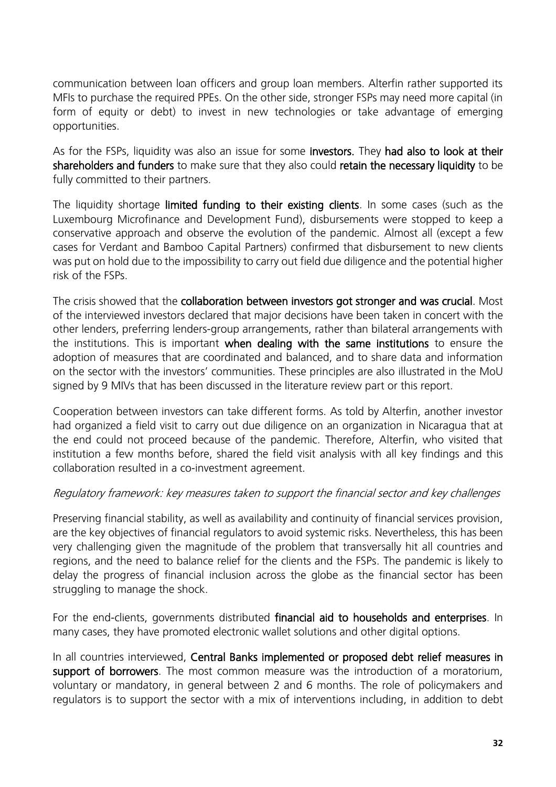communication between loan officers and group loan members. Alterfin rather supported its MFIs to purchase the required PPEs. On the other side, stronger FSPs may need more capital (in form of equity or debt) to invest in new technologies or take advantage of emerging opportunities.

As for the FSPs, liquidity was also an issue for some investors. They had also to look at their shareholders and funders to make sure that they also could retain the necessary liquidity to be fully committed to their partners.

The liquidity shortage limited funding to their existing clients. In some cases (such as the Luxembourg Microfinance and Development Fund), disbursements were stopped to keep a conservative approach and observe the evolution of the pandemic. Almost all (except a few cases for Verdant and Bamboo Capital Partners) confirmed that disbursement to new clients was put on hold due to the impossibility to carry out field due diligence and the potential higher risk of the FSPs.

The crisis showed that the collaboration between investors got stronger and was crucial. Most of the interviewed investors declared that major decisions have been taken in concert with the other lenders, preferring lenders-group arrangements, rather than bilateral arrangements with the institutions. This is important when dealing with the same institutions to ensure the adoption of measures that are coordinated and balanced, and to share data and information on the sector with the investors' communities. These principles are also illustrated in the MoU signed by 9 MIVs that has been discussed in the literature review part or this report.

Cooperation between investors can take different forms. As told by Alterfin, another investor had organized a field visit to carry out due diligence on an organization in Nicaragua that at the end could not proceed because of the pandemic. Therefore, Alterfin, who visited that institution a few months before, shared the field visit analysis with all key findings and this collaboration resulted in a co-investment agreement.

#### Regulatory framework: key measures taken to support the financial sector and key challenges

Preserving financial stability, as well as availability and continuity of financial services provision, are the key objectives of financial regulators to avoid systemic risks. Nevertheless, this has been very challenging given the magnitude of the problem that transversally hit all countries and regions, and the need to balance relief for the clients and the FSPs. The pandemic is likely to delay the progress of financial inclusion across the globe as the financial sector has been struggling to manage the shock.

For the end-clients, governments distributed financial aid to households and enterprises. In many cases, they have promoted electronic wallet solutions and other digital options.

In all countries interviewed, Central Banks implemented or proposed debt relief measures in support of borrowers. The most common measure was the introduction of a moratorium, voluntary or mandatory, in general between 2 and 6 months. The role of policymakers and regulators is to support the sector with a mix of interventions including, in addition to debt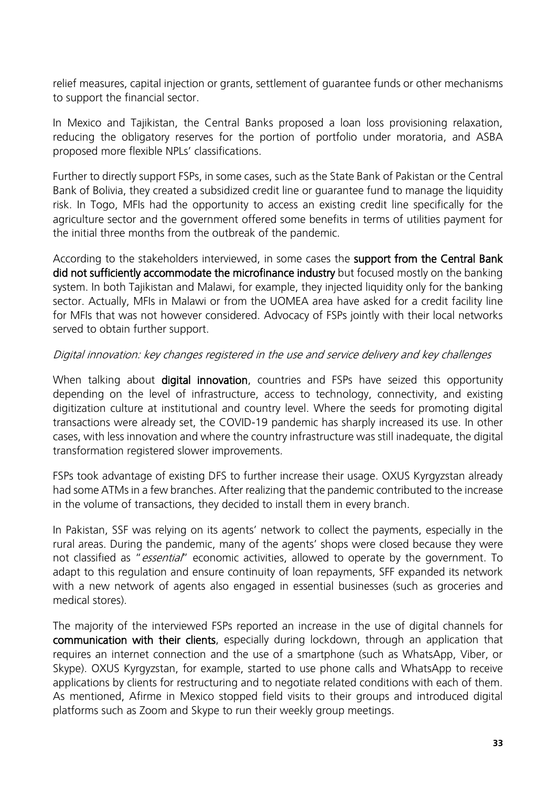relief measures, capital injection or grants, settlement of guarantee funds or other mechanisms to support the financial sector.

In Mexico and Tajikistan, the Central Banks proposed a loan loss provisioning relaxation, reducing the obligatory reserves for the portion of portfolio under moratoria, and ASBA proposed more flexible NPLs' classifications.

Further to directly support FSPs, in some cases, such as the State Bank of Pakistan or the Central Bank of Bolivia, they created a subsidized credit line or guarantee fund to manage the liquidity risk. In Togo, MFIs had the opportunity to access an existing credit line specifically for the agriculture sector and the government offered some benefits in terms of utilities payment for the initial three months from the outbreak of the pandemic.

According to the stakeholders interviewed, in some cases the support from the Central Bank did not sufficiently accommodate the microfinance industry but focused mostly on the banking system. In both Tajikistan and Malawi, for example, they injected liquidity only for the banking sector. Actually, MFIs in Malawi or from the UOMEA area have asked for a credit facility line for MFIs that was not however considered. Advocacy of FSPs jointly with their local networks served to obtain further support.

#### Digital innovation: key changes registered in the use and service delivery and key challenges

When talking about **digital innovation**, countries and FSPs have seized this opportunity depending on the level of infrastructure, access to technology, connectivity, and existing digitization culture at institutional and country level. Where the seeds for promoting digital transactions were already set, the COVID-19 pandemic has sharply increased its use. In other cases, with less innovation and where the country infrastructure was still inadequate, the digital transformation registered slower improvements.

FSPs took advantage of existing DFS to further increase their usage. OXUS Kyrgyzstan already had some ATMs in a few branches. After realizing that the pandemic contributed to the increase in the volume of transactions, they decided to install them in every branch.

In Pakistan, SSF was relying on its agents' network to collect the payments, especially in the rural areas. During the pandemic, many of the agents' shops were closed because they were not classified as "essential" economic activities, allowed to operate by the government. To adapt to this regulation and ensure continuity of loan repayments, SFF expanded its network with a new network of agents also engaged in essential businesses (such as groceries and medical stores).

The majority of the interviewed FSPs reported an increase in the use of digital channels for communication with their clients, especially during lockdown, through an application that requires an internet connection and the use of a smartphone (such as WhatsApp, Viber, or Skype). OXUS Kyrgyzstan, for example, started to use phone calls and WhatsApp to receive applications by clients for restructuring and to negotiate related conditions with each of them. As mentioned, Afirme in Mexico stopped field visits to their groups and introduced digital platforms such as Zoom and Skype to run their weekly group meetings.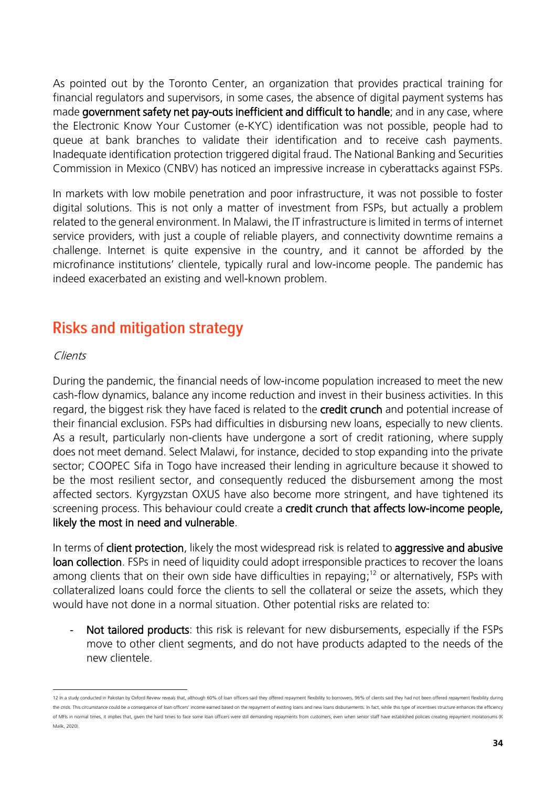As pointed out by the Toronto Center, an organization that provides practical training for financial regulators and supervisors, in some cases, the absence of digital payment systems has made government safety net pay-outs inefficient and difficult to handle; and in any case, where the Electronic Know Your Customer (e-KYC) identification was not possible, people had to queue at bank branches to validate their identification and to receive cash payments. Inadequate identification protection triggered digital fraud. The National Banking and Securities Commission in Mexico (CNBV) has noticed an impressive increase in cyberattacks against FSPs.

In markets with low mobile penetration and poor infrastructure, it was not possible to foster digital solutions. This is not only a matter of investment from FSPs, but actually a problem related to the general environment. In Malawi, the IT infrastructure is limited in terms of internet service providers, with just a couple of reliable players, and connectivity downtime remains a challenge. Internet is quite expensive in the country, and it cannot be afforded by the microfinance institutions' clientele, typically rural and low-income people. The pandemic has indeed exacerbated an existing and well-known problem.

## <span id="page-33-0"></span>**Risks and mitigation strategy**

#### Clients

During the pandemic, the financial needs of low-income population increased to meet the new cash-flow dynamics, balance any income reduction and invest in their business activities. In this regard, the biggest risk they have faced is related to the credit crunch and potential increase of their financial exclusion. FSPs had difficulties in disbursing new loans, especially to new clients. As a result, particularly non-clients have undergone a sort of credit rationing, where supply does not meet demand. Select Malawi, for instance, decided to stop expanding into the private sector; COOPEC Sifa in Togo have increased their lending in agriculture because it showed to be the most resilient sector, and consequently reduced the disbursement among the most affected sectors. Kyrgyzstan OXUS have also become more stringent, and have tightened its screening process. This behaviour could create a credit crunch that affects low-income people, likely the most in need and vulnerable.

In terms of **client protection**, likely the most widespread risk is related to **aggressive and abusive** loan collection. FSPs in need of liquidity could adopt irresponsible practices to recover the loans among clients that on their own side have difficulties in repaying; <sup>12</sup> or alternatively, FSPs with collateralized loans could force the clients to sell the collateral or seize the assets, which they would have not done in a normal situation. Other potential risks are related to:

- Not tailored products: this risk is relevant for new disbursements, especially if the FSPs move to other client segments, and do not have products adapted to the needs of the new clientele.

<sup>12</sup> In a study conducted in Pakistan by Oxford Review reveals that, although 60% of loan officers said they offered repayment flexibility to borrowers, 96% of clients said they had not been offered repayment flexiblity duri the crisis. This circumstance could be a consequence of loan officers' income earned based on the repayment of existing loans and new loans disbursements. In fact, while this type of incentives structure enhances the effic of MFIs in normal times, it implies that, given the hard times to face some loan officers were still demanding repayments from customers, even when senior staff have established policies creating repayment moratoriums (K Malik, 2020).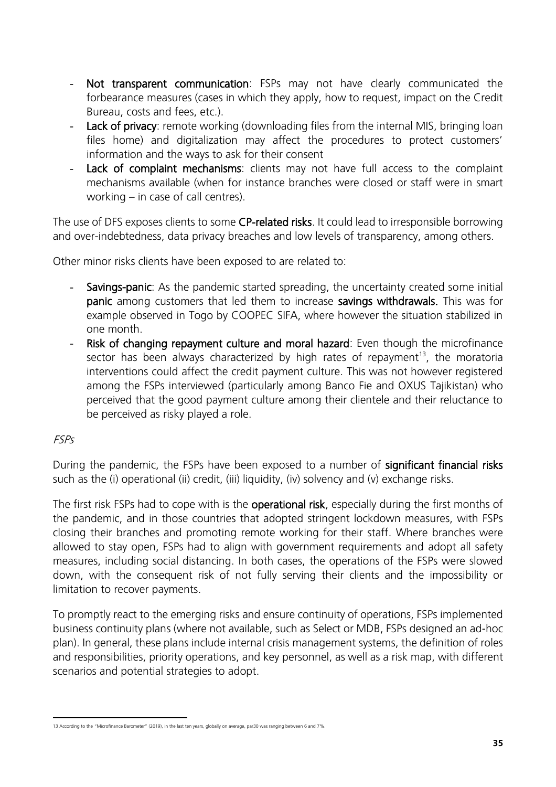- Not transparent communication: FSPs may not have clearly communicated the forbearance measures (cases in which they apply, how to request, impact on the Credit Bureau, costs and fees, etc.).
- Lack of privacy: remote working (downloading files from the internal MIS, bringing loan files home) and digitalization may affect the procedures to protect customers' information and the ways to ask for their consent
- Lack of complaint mechanisms: clients may not have full access to the complaint mechanisms available (when for instance branches were closed or staff were in smart working – in case of call centres).

The use of DFS exposes clients to some CP-related risks. It could lead to irresponsible borrowing and over-indebtedness, data privacy breaches and low levels of transparency, among others.

Other minor risks clients have been exposed to are related to:

- Savings-panic: As the pandemic started spreading, the uncertainty created some initial panic among customers that led them to increase savings withdrawals. This was for example observed in Togo by COOPEC SIFA, where however the situation stabilized in one month.
- Risk of changing repayment culture and moral hazard: Even though the microfinance sector has been always characterized by high rates of repayment<sup>13</sup>, the moratoria interventions could affect the credit payment culture. This was not however registered among the FSPs interviewed (particularly among Banco Fie and OXUS Tajikistan) who perceived that the good payment culture among their clientele and their reluctance to be perceived as risky played a role.

#### FSPs

During the pandemic, the FSPs have been exposed to a number of significant financial risks such as the (i) operational (ii) credit, (iii) liquidity, (iv) solvency and (v) exchange risks.

The first risk FSPs had to cope with is the **operational risk**, especially during the first months of the pandemic, and in those countries that adopted stringent lockdown measures, with FSPs closing their branches and promoting remote working for their staff. Where branches were allowed to stay open, FSPs had to align with government requirements and adopt all safety measures, including social distancing. In both cases, the operations of the FSPs were slowed down, with the consequent risk of not fully serving their clients and the impossibility or limitation to recover payments.

To promptly react to the emerging risks and ensure continuity of operations, FSPs implemented business continuity plans (where not available, such as Select or MDB, FSPs designed an ad-hoc plan). In general, these plans include internal crisis management systems, the definition of roles and responsibilities, priority operations, and key personnel, as well as a risk map, with different scenarios and potential strategies to adopt.

<sup>13</sup> According to the "Microfinance Barometer" (2019), in the last ten years, globally on average, par30 was ranging between 6 and 7%.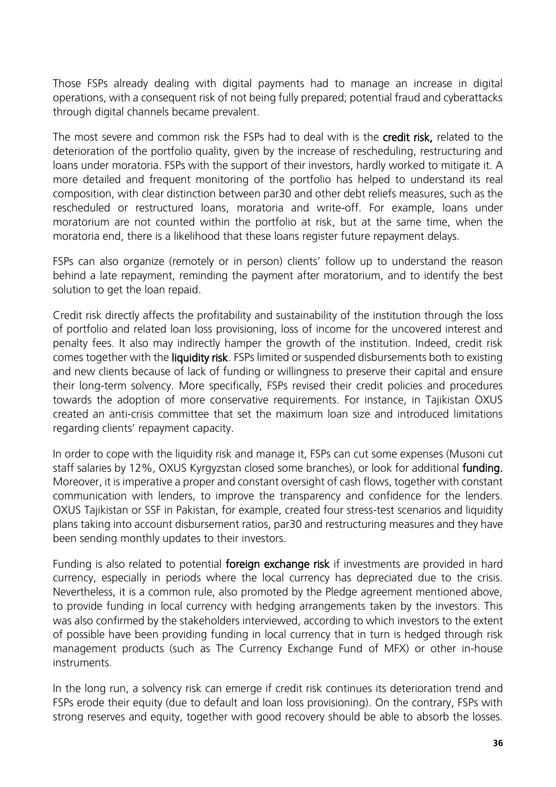Those FSPs already dealing with digital payments had to manage an increase in digital operations, with a consequent risk of not being fully prepared; potential fraud and cyberattacks through digital channels became prevalent.

The most severe and common risk the FSPs had to deal with is the credit risk, related to the deterioration of the portfolio quality, given by the increase of rescheduling, restructuring and loans under moratoria. FSPs with the support of their investors, hardly worked to mitigate it. A more detailed and frequent monitoring of the portfolio has helped to understand its real composition, with clear distinction between par30 and other debt reliefs measures, such as the rescheduled or restructured loans, moratoria and write-off. For example, loans under moratorium are not counted within the portfolio at risk, but at the same time, when the moratoria end, there is a likelihood that these loans register future repayment delays.

FSPs can also organize (remotely or in person) clients' follow up to understand the reason behind a late repayment, reminding the payment after moratorium, and to identify the best solution to get the loan repaid.

Credit risk directly affects the profitability and sustainability of the institution through the loss of portfolio and related loan loss provisioning, loss of income for the uncovered interest and penalty fees. It also may indirectly hamper the growth of the institution. Indeed, credit risk comes together with the liquidity risk. FSPs limited or suspended disbursements both to existing and new clients because of lack of funding or willingness to preserve their capital and ensure their long-term solvency. More specifically, FSPs revised their credit policies and procedures towards the adoption of more conservative requirements. For instance, in Tajikistan OXUS created an anti-crisis committee that set the maximum loan size and introduced limitations regarding clients' repayment capacity.

In order to cope with the liquidity risk and manage it, FSPs can cut some expenses (Musoni cut staff salaries by 12%, OXUS Kyrgyzstan closed some branches), or look for additional funding. Moreover, it is imperative a proper and constant oversight of cash flows, together with constant communication with lenders, to improve the transparency and confidence for the lenders. OXUS Tajikistan or SSF in Pakistan, for example, created four stress-test scenarios and liquidity plans taking into account disbursement ratios, par30 and restructuring measures and they have been sending monthly updates to their investors.

Funding is also related to potential **foreign exchange risk** if investments are provided in hard currency, especially in periods where the local currency has depreciated due to the crisis. Nevertheless, it is a common rule, also promoted by the Pledge agreement mentioned above, to provide funding in local currency with hedging arrangements taken by the investors. This was also confirmed by the stakeholders interviewed, according to which investors to the extent of possible have been providing funding in local currency that in turn is hedged through risk management products (such as The Currency Exchange Fund of MFX) or other in-house instruments.

In the long run, a solvency risk can emerge if credit risk continues its deterioration trend and FSPs erode their equity (due to default and loan loss provisioning). On the contrary, FSPs with strong reserves and equity, together with good recovery should be able to absorb the losses.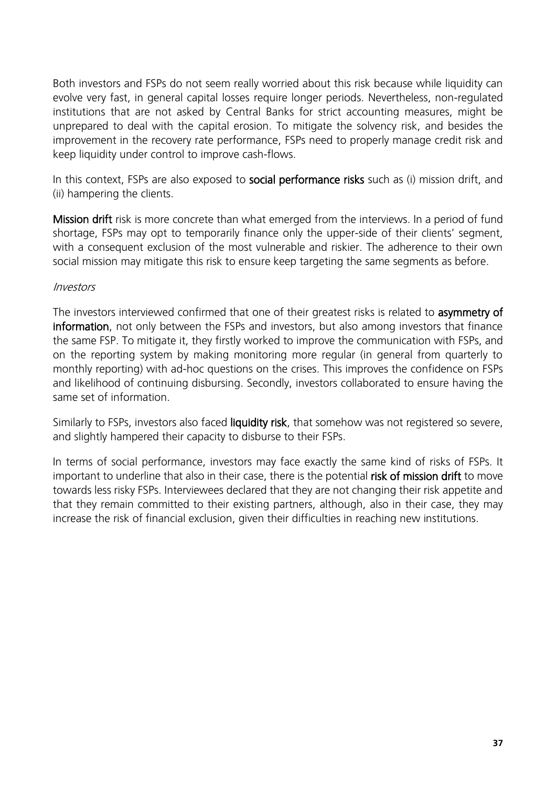Both investors and FSPs do not seem really worried about this risk because while liquidity can evolve very fast, in general capital losses require longer periods. Nevertheless, non-regulated institutions that are not asked by Central Banks for strict accounting measures, might be unprepared to deal with the capital erosion. To mitigate the solvency risk, and besides the improvement in the recovery rate performance, FSPs need to properly manage credit risk and keep liquidity under control to improve cash-flows.

In this context, FSPs are also exposed to **social performance risks** such as (i) mission drift, and (ii) hampering the clients.

Mission drift risk is more concrete than what emerged from the interviews. In a period of fund shortage, FSPs may opt to temporarily finance only the upper-side of their clients' segment, with a consequent exclusion of the most vulnerable and riskier. The adherence to their own social mission may mitigate this risk to ensure keep targeting the same segments as before.

#### Investors

The investors interviewed confirmed that one of their greatest risks is related to asymmetry of information, not only between the FSPs and investors, but also among investors that finance the same FSP. To mitigate it, they firstly worked to improve the communication with FSPs, and on the reporting system by making monitoring more regular (in general from quarterly to monthly reporting) with ad-hoc questions on the crises. This improves the confidence on FSPs and likelihood of continuing disbursing. Secondly, investors collaborated to ensure having the same set of information.

Similarly to FSPs, investors also faced liquidity risk, that somehow was not registered so severe, and slightly hampered their capacity to disburse to their FSPs.

<span id="page-36-0"></span>In terms of social performance, investors may face exactly the same kind of risks of FSPs. It important to underline that also in their case, there is the potential risk of mission drift to move towards less risky FSPs. Interviewees declared that they are not changing their risk appetite and that they remain committed to their existing partners, although, also in their case, they may increase the risk of financial exclusion, given their difficulties in reaching new institutions.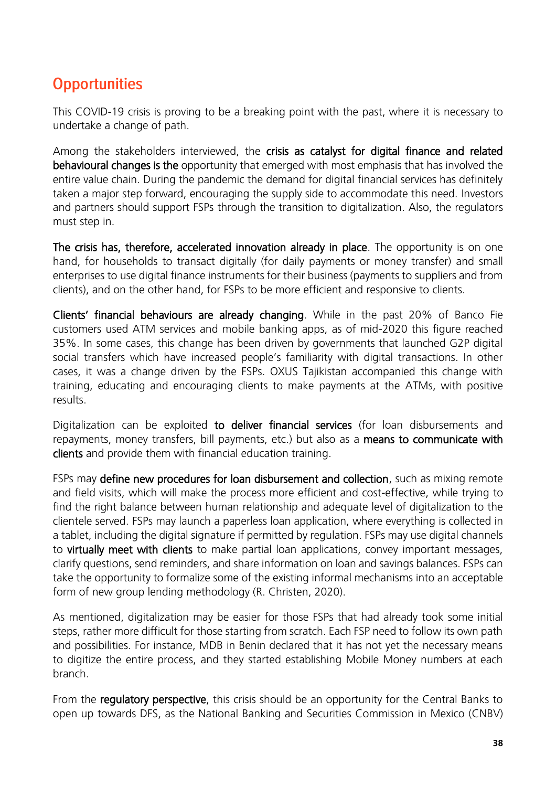## **Opportunities**

This COVID-19 crisis is proving to be a breaking point with the past, where it is necessary to undertake a change of path.

Among the stakeholders interviewed, the crisis as catalyst for digital finance and related behavioural changes is the opportunity that emerged with most emphasis that has involved the entire value chain. During the pandemic the demand for digital financial services has definitely taken a major step forward, encouraging the supply side to accommodate this need. Investors and partners should support FSPs through the transition to digitalization. Also, the regulators must step in.

The crisis has, therefore, accelerated innovation already in place. The opportunity is on one hand, for households to transact digitally (for daily payments or money transfer) and small enterprises to use digital finance instruments for their business (payments to suppliers and from clients), and on the other hand, for FSPs to be more efficient and responsive to clients.

Clients' financial behaviours are already changing. While in the past 20% of Banco Fie customers used ATM services and mobile banking apps, as of mid-2020 this figure reached 35%. In some cases, this change has been driven by governments that launched G2P digital social transfers which have increased people's familiarity with digital transactions. In other cases, it was a change driven by the FSPs. OXUS Tajikistan accompanied this change with training, educating and encouraging clients to make payments at the ATMs, with positive results.

Digitalization can be exploited to deliver financial services (for loan disbursements and repayments, money transfers, bill payments, etc.) but also as a means to communicate with clients and provide them with financial education training.

FSPs may define new procedures for loan disbursement and collection, such as mixing remote and field visits, which will make the process more efficient and cost-effective, while trying to find the right balance between human relationship and adequate level of digitalization to the clientele served. FSPs may launch a paperless loan application, where everything is collected in a tablet, including the digital signature if permitted by regulation. FSPs may use digital channels to virtually meet with clients to make partial loan applications, convey important messages, clarify questions, send reminders, and share information on loan and savings balances. FSPs can take the opportunity to formalize some of the existing informal mechanisms into an acceptable form of new group lending methodology (R. Christen, 2020).

As mentioned, digitalization may be easier for those FSPs that had already took some initial steps, rather more difficult for those starting from scratch. Each FSP need to follow its own path and possibilities. For instance, MDB in Benin declared that it has not yet the necessary means to digitize the entire process, and they started establishing Mobile Money numbers at each branch.

From the regulatory perspective, this crisis should be an opportunity for the Central Banks to open up towards DFS, as the National Banking and Securities Commission in Mexico (CNBV)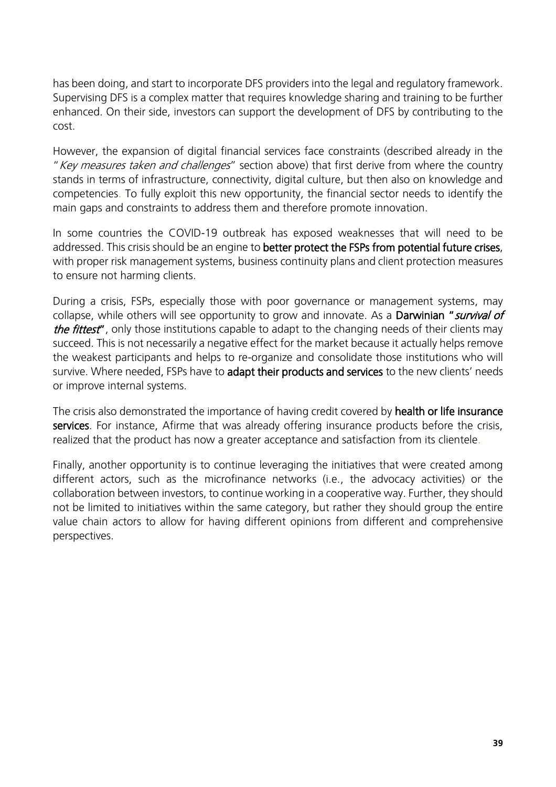has been doing, and start to incorporate DFS providers into the legal and regulatory framework. Supervising DFS is a complex matter that requires knowledge sharing and training to be further enhanced. On their side, investors can support the development of DFS by contributing to the cost.

However, the expansion of digital financial services face constraints (described already in the " Key measures taken and challenges" section above) that first derive from where the country stands in terms of infrastructure, connectivity, digital culture, but then also on knowledge and competencies. To fully exploit this new opportunity, the financial sector needs to identify the main gaps and constraints to address them and therefore promote innovation.

In some countries the COVID-19 outbreak has exposed weaknesses that will need to be addressed. This crisis should be an engine to **better protect the FSPs from potential future crises**, with proper risk management systems, business continuity plans and client protection measures to ensure not harming clients.

During a crisis, FSPs, especially those with poor governance or management systems, may collapse, while others will see opportunity to grow and innovate. As a Darwinian "survival of the fittest", only those institutions capable to adapt to the changing needs of their clients may succeed. This is not necessarily a negative effect for the market because it actually helps remove the weakest participants and helps to re-organize and consolidate those institutions who will survive. Where needed, FSPs have to adapt their products and services to the new clients' needs or improve internal systems.

The crisis also demonstrated the importance of having credit covered by health or life insurance services. For instance, Afirme that was already offering insurance products before the crisis, realized that the product has now a greater acceptance and satisfaction from its clientele.

Finally, another opportunity is to continue leveraging the initiatives that were created among different actors, such as the microfinance networks (i.e., the advocacy activities) or the collaboration between investors, to continue working in a cooperative way. Further, they should not be limited to initiatives within the same category, but rather they should group the entire value chain actors to allow for having different opinions from different and comprehensive perspectives.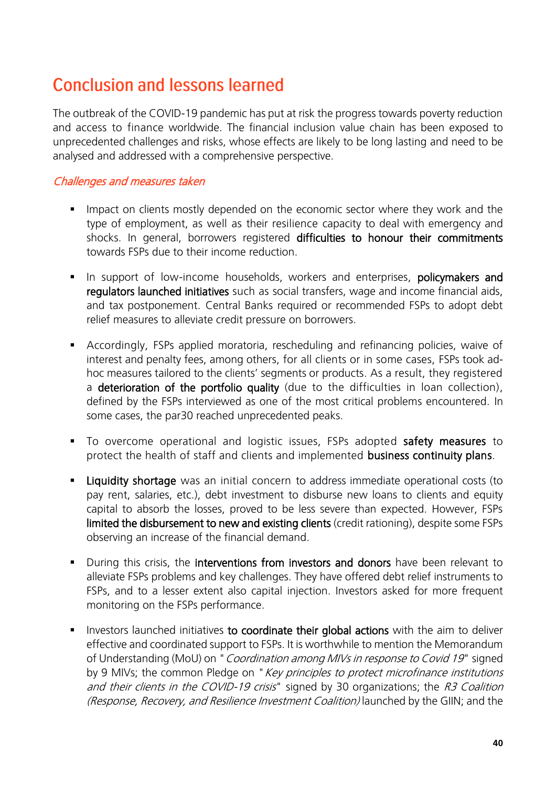## <span id="page-39-0"></span>**Conclusion and lessons learned**

The outbreak of the COVID-19 pandemic has put at risk the progress towards poverty reduction and access to finance worldwide. The financial inclusion value chain has been exposed to unprecedented challenges and risks, whose effects are likely to be long lasting and need to be analysed and addressed with a comprehensive perspective.

#### Challenges and measures taken

- **EXT** Impact on clients mostly depended on the economic sector where they work and the type of employment, as well as their resilience capacity to deal with emergency and shocks. In general, borrowers registered difficulties to honour their commitments towards FSPs due to their income reduction.
- **.** In support of low-income households, workers and enterprises, **policymakers and** regulators launched initiatives such as social transfers, wage and income financial aids, and tax postponement. Central Banks required or recommended FSPs to adopt debt relief measures to alleviate credit pressure on borrowers.
- **EXP** Accordingly, FSPs applied moratoria, rescheduling and refinancing policies, waive of interest and penalty fees, among others, for all clients or in some cases, FSPs took adhoc measures tailored to the clients' segments or products. As a result, they registered a deterioration of the portfolio quality (due to the difficulties in loan collection), defined by the FSPs interviewed as one of the most critical problems encountered. In some cases, the par30 reached unprecedented peaks.
- To overcome operational and logistic issues, FSPs adopted safety measures to protect the health of staff and clients and implemented business continuity plans.
- **Example 1** Liquidity shortage was an initial concern to address immediate operational costs (to pay rent, salaries, etc.), debt investment to disburse new loans to clients and equity capital to absorb the losses, proved to be less severe than expected. However, FSPs limited the disbursement to new and existing clients (credit rationing), despite some FSPs observing an increase of the financial demand.
- **•** During this crisis, the **interventions from investors and donors** have been relevant to alleviate FSPs problems and key challenges. They have offered debt relief instruments to FSPs, and to a lesser extent also capital injection. Investors asked for more frequent monitoring on the FSPs performance.
- **EXTEDE Investors launched initiatives to coordinate their global actions** with the aim to deliver effective and coordinated support to FSPs. It is worthwhile to mention the Memorandum of Understanding (MoU) on " Coordination among MIVs in response to Covid 19" signed by 9 MIVs; the common Pledge on "Key principles to protect microfinance institutions and their clients in the COVID-19 crisis" signed by 30 organizations; the R3 Coalition (Response, Recovery, and Resilience Investment Coalition) launched by the GIIN; and the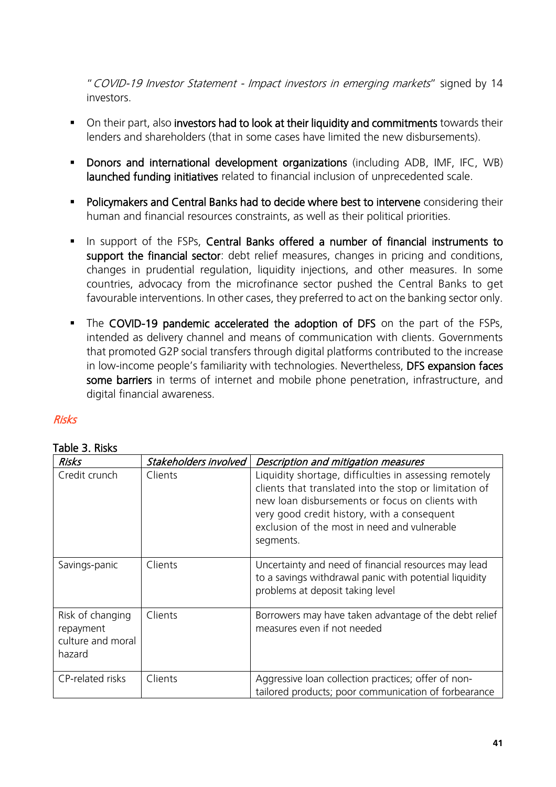"COVID-19 Investor Statement - Impact investors in emerging markets" signed by 14 investors.

- **•** On their part, also investors had to look at their liquidity and commitments towards their lenders and shareholders (that in some cases have limited the new disbursements).
- **•** Donors and international development organizations (including ADB, IMF, IFC, WB) launched funding initiatives related to financial inclusion of unprecedented scale.
- **Policymakers and Central Banks had to decide where best to intervene** considering their human and financial resources constraints, as well as their political priorities.
- **•** In support of the FSPs, Central Banks offered a number of financial instruments to support the financial sector: debt relief measures, changes in pricing and conditions, changes in prudential regulation, liquidity injections, and other measures. In some countries, advocacy from the microfinance sector pushed the Central Banks to get favourable interventions. In other cases, they preferred to act on the banking sector only.
- **.** The COVID-19 pandemic accelerated the adoption of DFS on the part of the FSPs, intended as delivery channel and means of communication with clients. Governments that promoted G2P social transfers through digital platforms contributed to the increase in low-income people's familiarity with technologies. Nevertheless, DFS expansion faces some barriers in terms of internet and mobile phone penetration, infrastructure, and digital financial awareness.

#### Risks

#### Table 3. Risks

| Risks                                                        | Stakeholders involved | Description and mitigation measures                                                                                                                                                                                                                                             |
|--------------------------------------------------------------|-----------------------|---------------------------------------------------------------------------------------------------------------------------------------------------------------------------------------------------------------------------------------------------------------------------------|
| Credit crunch                                                | Clients               | Liquidity shortage, difficulties in assessing remotely<br>clients that translated into the stop or limitation of<br>new loan disbursements or focus on clients with<br>very good credit history, with a consequent<br>exclusion of the most in need and vulnerable<br>segments. |
| Savings-panic                                                | Clients               | Uncertainty and need of financial resources may lead<br>to a savings withdrawal panic with potential liquidity<br>problems at deposit taking level                                                                                                                              |
| Risk of changing<br>repayment<br>culture and moral<br>hazard | Clients               | Borrowers may have taken advantage of the debt relief<br>measures even if not needed                                                                                                                                                                                            |
| CP-related risks                                             | Clients               | Aggressive loan collection practices; offer of non-<br>tailored products; poor communication of forbearance                                                                                                                                                                     |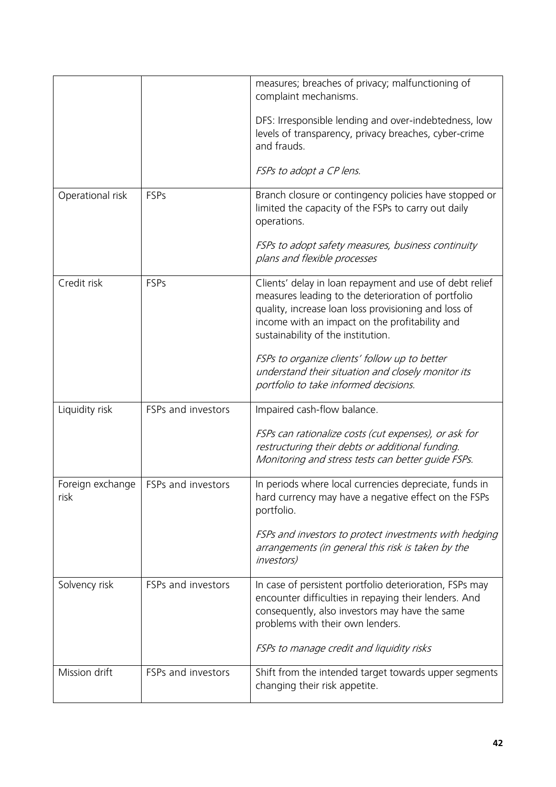|                          |                    | measures; breaches of privacy; malfunctioning of<br>complaint mechanisms.<br>DFS: Irresponsible lending and over-indebtedness, low<br>levels of transparency, privacy breaches, cyber-crime<br>and frauds.<br>FSPs to adopt a CP lens.                                                                                                                               |
|--------------------------|--------------------|----------------------------------------------------------------------------------------------------------------------------------------------------------------------------------------------------------------------------------------------------------------------------------------------------------------------------------------------------------------------|
| Operational risk         | FSPs               | Branch closure or contingency policies have stopped or<br>limited the capacity of the FSPs to carry out daily<br>operations.<br>FSPs to adopt safety measures, business continuity<br>plans and flexible processes                                                                                                                                                   |
| Credit risk              | <b>FSPs</b>        | Clients' delay in loan repayment and use of debt relief<br>measures leading to the deterioration of portfolio<br>quality, increase loan loss provisioning and loss of<br>income with an impact on the profitability and<br>sustainability of the institution.<br>FSPs to organize clients' follow up to better<br>understand their situation and closely monitor its |
|                          |                    | portfolio to take informed decisions.                                                                                                                                                                                                                                                                                                                                |
| Liquidity risk           | FSPs and investors | Impaired cash-flow balance.<br>FSPs can rationalize costs (cut expenses), or ask for<br>restructuring their debts or additional funding.<br>Monitoring and stress tests can better quide FSPs.                                                                                                                                                                       |
| Foreign exchange<br>risk | FSPs and investors | In periods where local currencies depreciate, funds in<br>hard currency may have a negative effect on the FSPs<br>portfolio.<br>FSPs and investors to protect investments with hedging<br>arrangements (in general this risk is taken by the<br><i>investors</i> )                                                                                                   |
| Solvency risk            | FSPs and investors | In case of persistent portfolio deterioration, FSPs may<br>encounter difficulties in repaying their lenders. And<br>consequently, also investors may have the same<br>problems with their own lenders.<br>FSPs to manage credit and liquidity risks                                                                                                                  |
| Mission drift            | FSPs and investors | Shift from the intended target towards upper segments<br>changing their risk appetite.                                                                                                                                                                                                                                                                               |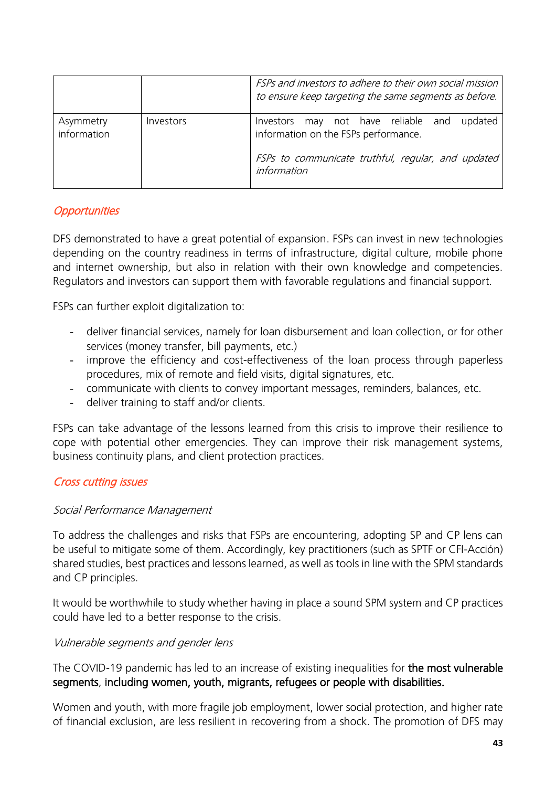|                          |           | FSPs and investors to adhere to their own social mission<br>to ensure keep targeting the same segments as before. |
|--------------------------|-----------|-------------------------------------------------------------------------------------------------------------------|
| Asymmetry<br>information | Investors | may not have reliable and<br>updated<br>Investors<br>information on the FSPs performance.                         |
|                          |           | FSPs to communicate truthful, regular, and updated<br>information                                                 |

#### **Opportunities**

DFS demonstrated to have a great potential of expansion. FSPs can invest in new technologies depending on the country readiness in terms of infrastructure, digital culture, mobile phone and internet ownership, but also in relation with their own knowledge and competencies. Regulators and investors can support them with favorable regulations and financial support.

FSPs can further exploit digitalization to:

- deliver financial services, namely for loan disbursement and loan collection, or for other services (money transfer, bill payments, etc.)
- improve the efficiency and cost-effectiveness of the loan process through paperless procedures, mix of remote and field visits, digital signatures, etc.
- communicate with clients to convey important messages, reminders, balances, etc.
- deliver training to staff and/or clients.

FSPs can take advantage of the lessons learned from this crisis to improve their resilience to cope with potential other emergencies. They can improve their risk management systems, business continuity plans, and client protection practices.

#### Cross cutting issues

#### Social Performance Management

To address the challenges and risks that FSPs are encountering, adopting SP and CP lens can be useful to mitigate some of them. Accordingly, key practitioners (such as SPTF or CFI-Acción) shared studies, best practices and lessons learned, as well as tools in line with the SPM standards and CP principles.

It would be worthwhile to study whether having in place a sound SPM system and CP practices could have led to a better response to the crisis.

#### Vulnerable segments and gender lens

The COVID-19 pandemic has led to an increase of existing inequalities for the most vulnerable segments, including women, youth, migrants, refugees or people with disabilities.

Women and youth, with more fragile job employment, lower social protection, and higher rate of financial exclusion, are less resilient in recovering from a shock. The promotion of DFS may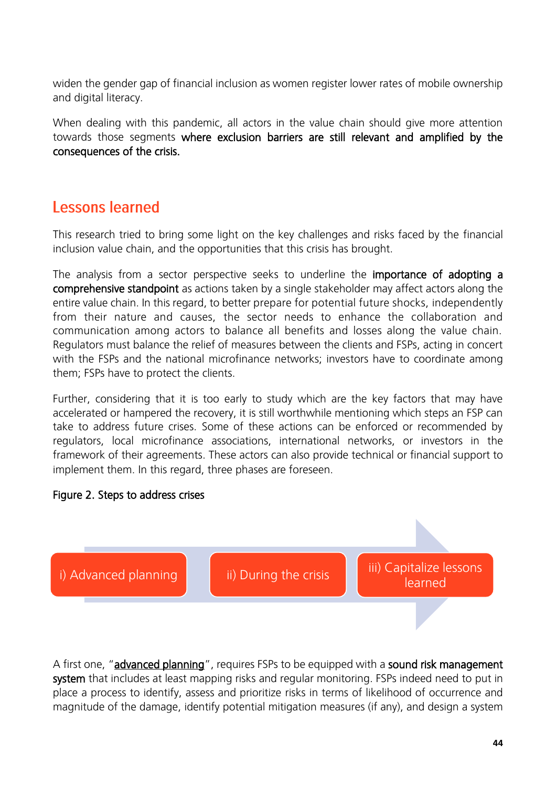widen the gender gap of financial inclusion as women register lower rates of mobile ownership and digital literacy.

When dealing with this pandemic, all actors in the value chain should give more attention towards those segments where exclusion barriers are still relevant and amplified by the consequences of the crisis.

### <span id="page-43-0"></span>**Lessons learned**

This research tried to bring some light on the key challenges and risks faced by the financial inclusion value chain, and the opportunities that this crisis has brought.

The analysis from a sector perspective seeks to underline the **importance of adopting a** comprehensive standpoint as actions taken by a single stakeholder may affect actors along the entire value chain. In this regard, to better prepare for potential future shocks, independently from their nature and causes, the sector needs to enhance the collaboration and communication among actors to balance all benefits and losses along the value chain. Regulators must balance the relief of measures between the clients and FSPs, acting in concert with the FSPs and the national microfinance networks; investors have to coordinate among them; FSPs have to protect the clients.

Further, considering that it is too early to study which are the key factors that may have accelerated or hampered the recovery, it is still worthwhile mentioning which steps an FSP can take to address future crises. Some of these actions can be enforced or recommended by regulators, local microfinance associations, international networks, or investors in the framework of their agreements. These actors can also provide technical or financial support to implement them. In this regard, three phases are foreseen.

#### Figure 2. Steps to address crises



A first one, "advanced planning", requires FSPs to be equipped with a sound risk management system that includes at least mapping risks and regular monitoring. FSPs indeed need to put in place a process to identify, assess and prioritize risks in terms of likelihood of occurrence and magnitude of the damage, identify potential mitigation measures (if any), and design a system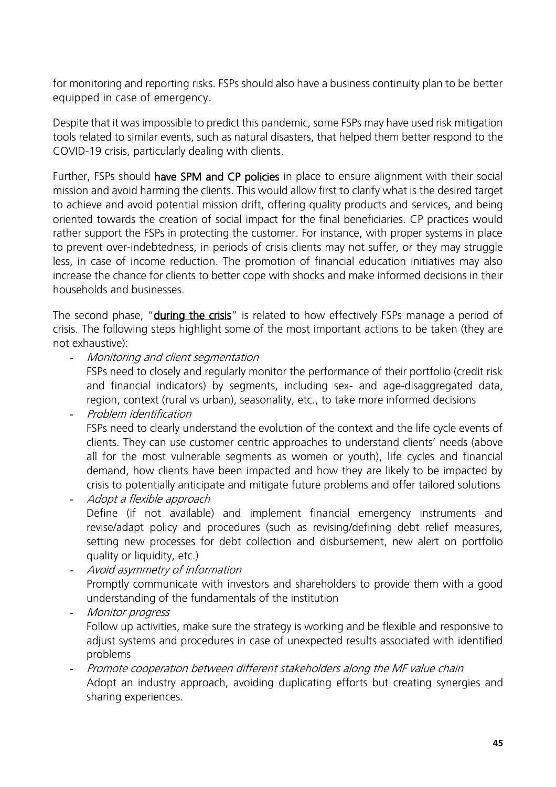for monitoring and reporting risks. FSPs should also have a business continuity plan to be better equipped in case of emergency.

Despite that it was impossible to predict this pandemic, some FSPs may have used risk mitigation tools related to similar events, such as natural disasters, that helped them better respond to the COVID-19 crisis, particularly dealing with clients.

Further, FSPs should have SPM and CP policies in place to ensure alignment with their social mission and avoid harming the clients. This would allow first to clarify what is the desired target to achieve and avoid potential mission drift, offering quality products and services, and being oriented towards the creation of social impact for the final beneficiaries. CP practices would rather support the FSPs in protecting the customer. For instance, with proper systems in place to prevent over-indebtedness, in periods of crisis clients may not suffer, or they may struggle less, in case of income reduction. The promotion of financial education initiatives may also increase the chance for clients to better cope with shocks and make informed decisions in their households and businesses.

The second phase, "**during the crisis**" is related to how effectively FSPs manage a period of crisis. The following steps highlight some of the most important actions to be taken (they are not exhaustive):

Monitoring and client segmentation

FSPs need to closely and regularly monitor the performance of their portfolio (credit risk and financial indicators) by segments, including sex- and age-disaggregated data, region, context (rural vs urban), seasonality, etc., to take more informed decisions

Problem identification

FSPs need to clearly understand the evolution of the context and the life cycle events of clients. They can use customer centric approaches to understand clients' needs (above all for the most vulnerable segments as women or youth), life cycles and financial demand, how clients have been impacted and how they are likely to be impacted by crisis to potentially anticipate and mitigate future problems and offer tailored solutions

- Adopt a flexible approach Define (if not available) and implement financial emergency instruments and revise/adapt policy and procedures (such as revising/defining debt relief measures, setting new processes for debt collection and disbursement, new alert on portfolio quality or liquidity, etc.)

- Avoid asymmetry of information Promptly communicate with investors and shareholders to provide them with a good understanding of the fundamentals of the institution

Monitor progress Follow up activities, make sure the strategy is working and be flexible and responsive to adjust systems and procedures in case of unexpected results associated with identified problems

- Promote cooperation between different stakeholders along the MF value chain Adopt an industry approach, avoiding duplicating efforts but creating synergies and sharing experiences.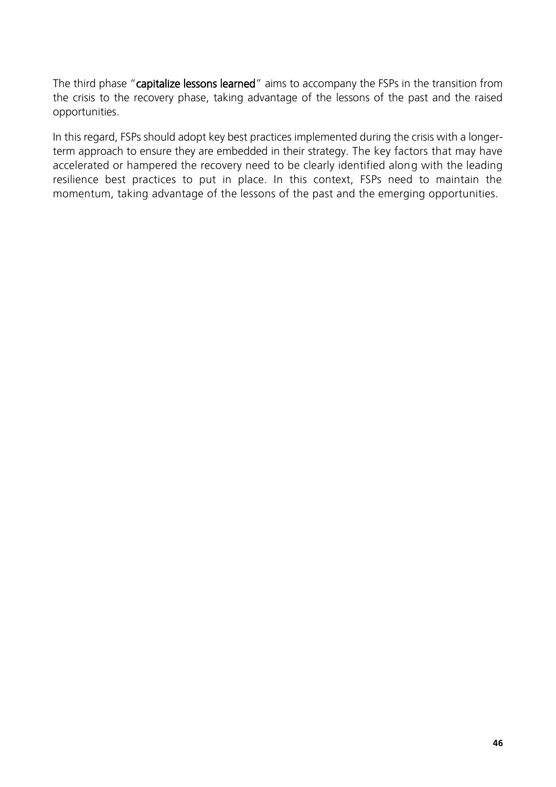The third phase "capitalize lessons learned" aims to accompany the FSPs in the transition from the crisis to the recovery phase, taking advantage of the lessons of the past and the raised opportunities.

In this regard, FSPs should adopt key best practices implemented during the crisis with a longerterm approach to ensure they are embedded in their strategy. The key factors that may have accelerated or hampered the recovery need to be clearly identified along with the leading resilience best practices to put in place. In this context, FSPs need to maintain the momentum, taking advantage of the lessons of the past and the emerging opportunities.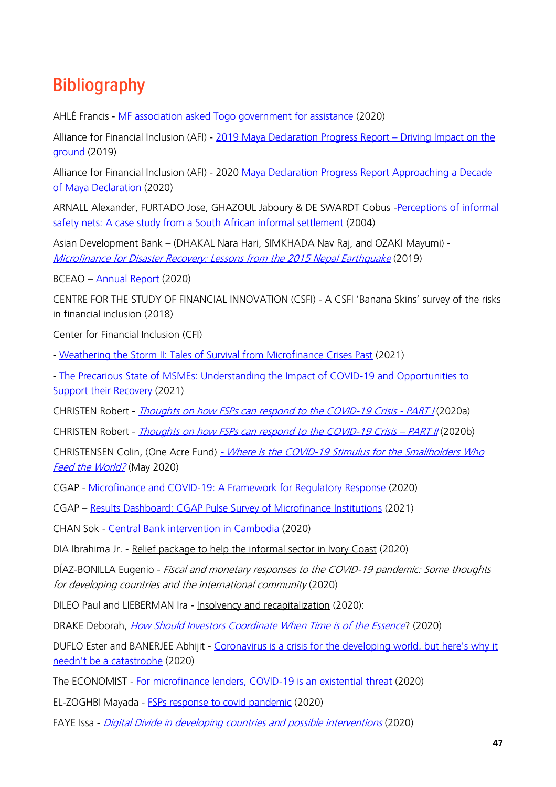## <span id="page-46-0"></span>**Bibliography**

AHLÉ Francis - [MF association asked Togo government for assistance](https://www.afrik.com/togo-le-coronavirus-met-a-mal-la-microfinance) (2020)

Alliance for Financial Inclusion (AFI) - [2019 Maya Declaration Progress Report](https://issuu.com/afi-global/docs/afi_maya_19_aw_digital_low) - Driving Impact on the [ground](https://issuu.com/afi-global/docs/afi_maya_19_aw_digital_low) (2019)

Alliance for Financial Inclusion (AFI) - 2020 [Maya Declaration Progress Report Approaching a Decade](https://www.afi-global.org/publications/2020-maya-declaration-progress-report-approaching-a-decade-of-maya-declaration/)  [of Maya Declaration](https://www.afi-global.org/publications/2020-maya-declaration-progress-report-approaching-a-decade-of-maya-declaration/) (2020)

ARNALL Alexander, FURTADO Jose, GHAZOUL Jaboury & DE SWARDT Cobus [-Perceptions of informal](https://www.tandfonline.com/doi/abs/10.1080/0376835042000265432?journalCode=cdsa20)  [safety nets: A case study from a South African informal settlement](https://www.tandfonline.com/doi/abs/10.1080/0376835042000265432?journalCode=cdsa20) (2004)

Asian Development Bank – (DHAKAL Nara Hari, SIMKHADA Nav Raj, and OZAKI Mayumi) - [Microfinance for Disaster Recovery: Lessons from the 2015 Nepal Earthquake](https://reliefweb.int/sites/reliefweb.int/files/resources/swp-065-microfinance-disaster-recovery-nepal-earthquake.pdf) (2019)

BCEAO – [Annual Report](https://www.bceao.int/sites/default/files/2021-10/Rapport%20annuel%202020%20VF_tr_ang_SGCB%20VF_1.pdf) (2020)

CENTRE FOR THE STUDY OF FINANCIAL INNOVATION (CSFI) - [A CSFI 'Banana Skins' survey](https://content.centerforfinancialinclusion.org/wp-content/uploads/sites/2/2018/09/Finance-for-All-2018-Banana-Skins-Final.pdf) of the risks [in financial inclusion](https://content.centerforfinancialinclusion.org/wp-content/uploads/sites/2/2018/09/Finance-for-All-2018-Banana-Skins-Final.pdf) (2018)

Center for Financial Inclusion (CFI)

- [Weathering the Storm II: Tales of Survival from Microfinance Crises Past](https://www.centerforfinancialinclusion.org/weathering-the-storm-ii-tales-of-survival-from-microfinance-crises-past) (2021)

- [The Precarious State of MSMEs: Understanding the Impact of COVID-19 and Opportunities to](https://www.centerforfinancialinclusion.org/the-precarious-state-of-msmes-understanding-the-impact-of-covid-19-and-opportunities-to-support-their-recovery)  [Support their Recovery](https://www.centerforfinancialinclusion.org/the-precarious-state-of-msmes-understanding-the-impact-of-covid-19-and-opportunities-to-support-their-recovery) (2021)

CHRISTEN Robert - *[Thoughts on how FSPs can respond to the COVID-19 Crisis -](https://www.bouldermft.org/blog/2020/05/07/114/) PART I* (2020a)

CHRISTEN Robert - *[Thoughts on how FSPs can respond to the COVID-19 Crisis](https://www.bouldermft.org/blog/2020/06/09/part-ii-thoughts-on-how-financial-service-providers-can-respond-to-the-covid-19-pandemic-crisis/) – PART II* (2020b)

CHRISTENSEN Colin, (One Acre Fund) - Where Is the COVID-19 Stimulus for the Smallholders Who [Feed the World?](https://www.findevgateway.org/blog/2020/05/where-covid-19-stimulus-smallholders-who-feed-world?utm_source=ENGLISH+-+) (May 2020)

CGAP - [Microfinance and COVID-19: A Framework for Regulatory Response](https://www.cgap.org/research/covid-19-briefing/microfinance-and-covid-19-framework-regulatory-response) (2020)

CGAP – [Results Dashboard: CGAP Pulse Survey of Microfinance Institutions](https://www.cgap.org/research/data/results-dashboard-cgap-pulse-survey-microfinance-institutions) (2021)

CHAN Sok - [Central Bank intervention in Cambodia](https://www.khmertimeskh.com/50727327/central-bank-reiterates-need-for-soft-approach-to-borrowers/) (2020)

DIA Ibrahima Jr. - [Relief package to help the informal sector in Ivory Coast](https://www.financialafrik.com/2020/05/27/covid-19-la-cote-divoire-au-chevet-des-acteurs-de-linformel/) (2020)

DÍAZ-BONILLA Eugenio - Fiscal and monetary responses to the COVID-19 pandemic: Some thoughts for developing countries and the international community (2020)

DILEO Paul and LIEBERMAN Ira - [Insolvency and recapitalization](https://www.covid-finclusion.org/post/preparing-for-insolvency-and-recapitalization-everybody-in-the-pool) (2020):

DRAKE Deborah, *[How Should Investors Coordinate When Time is of the Essence](https://www.centerforfinancialinclusion.org/how-should-investors-coordinate-when-time-is-of-the-essence?utm_source=ENGLISH_COVID_Weekly_Update_%2310_Jun_4_2020&utm_campaign=English+COVID+Weekly+Update+%236&utm_medium=email)*? (2020)

DUFLO Ester and BANERJEE Abhijit - Coronavirus is a crisis for the developing world, but here's why it [needn't be a catastrophe](https://www.theguardian.com/commentisfree/2020/may/06/vulnerable-countries-poverty-deadly-coronavirus-crisis#maincontent) (2020)

The ECONOMIST - [For microfinance lenders, COVID-19 is an existential threat](https://www.economist.com/finance-and-economics/2020/05/05/for-microfinance-lenders-covid-19-is-an-existential-threat) (2020)

EL-ZOGHBI Mayada - [FSPs response to covid pandemic](https://www.centerforfinancialinclusion.org/how-should-fsps-respond-to-the-covid-19-pandemic) (2020)

FAYE Issa - [Digital Divide in developing countries and possible interventions](https://medium.com/@IFC_org/dont-let-the-covid-era-widen-the-digital-divide-in-developing-countries-bf1e177d16fe) (2020)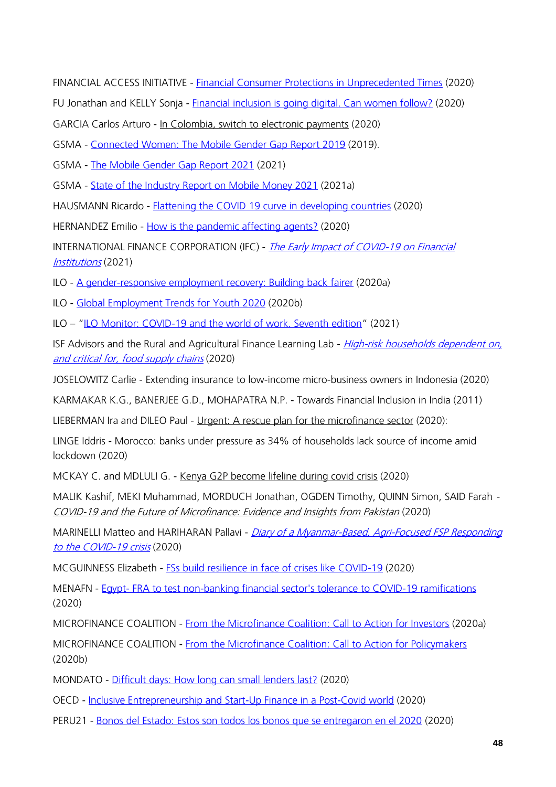FINANCIAL ACCESS INITIATIVE - [Financial Consumer Protections in Unprecedented Times](https://www.financialaccess.org/blog/2020/4/23/financial-consumer-protections-in-unprecedented-times) (2020)

FU Jonathan and KELLY Sonja - [Financial inclusion is going digital. Can women follow?](https://www.findevgateway.org/blog/2020/05/financial-inclusion-going-digital-can-women-follow?utm_source=ENGLISH_COVID_Weekly_Update_%239_May_28_2020&utm_campaign=English+COVID+Weekly+Update+%236&utm_medium=email) (2020)

GARCIA Carlos Arturo - [In Colombia, switch to electronic payments](https://www.eltiempo.com/economia/finanzas-personales/coronavirus-colombianos-se-pasan-del-efectivo-a-los-pagos-por-internet-499084) (2020)

GSMA - [Connected Women: The Mobile Gender Gap Report 2019](https://www.gsma.com/mobilefordevelopment/resources/mobile-gender-gap-report-2019/) (2019).

GSMA - [The Mobile Gender Gap](https://www.gsma.com/r/wp-content/uploads/2021/06/The-Mobile-Gender-Gap-Report-2021.pdf) Report 2021 (2021)

GSMA - [State of the Industry Report on Mobile Money 2021](https://www.gsma.com/mobilefordevelopment/wp-content/uploads/2021/03/GSMA_State-of-the-Industry-Report-on-Mobile-Money-2021_Full-report.pdf) (2021a)

HAUSMANN Ricardo - [Flattening the COVID 19 curve in developing countries](https://www.project-syndicate.org/commentary/flattening-covid19-curve-in-developing-countries-by-ricardo-hausmann-2020-03) (2020)

HERNANDEZ Emilio - [How is the pandemic affecting agents?](https://www.cgap.org/blog/how-pandemic-affecting-agents-heres-what-providers-tell-us) (2020)

INTERNATIONAL FINANCE CORPORATION (IFC) - *The Early Impact of COVID-19 on Financial* [Institutions](https://www.ifc.org/wps/wcm/connect/587d57c6-74dd-4efb-90cc-5dec218fd00e/Covid-19+Impact+on+FI+Survey+2020+-+5-11-2021_FINAL+REVIEW.pdf?MOD=AJPERES&CVID=nBz3kgr) (2021)

ILO - [A gender-responsive employment recovery: Building back fairer](https://www.ilo.org/wcmsp5/groups/public/---ed_emp/documents/publication/wcms_751785.pdf) (2020a)

ILO - [Global Employment Trends for Youth 2020](https://www.ilo.org/wcmsp5/groups/public/---dgreports/---dcomm/---publ/documents/publication/wcms_737648.pdf) (2020b)

ILO – "ILO [Monitor: COVID-19 and the world of work. Seventh edition](https://www.ilo.org/wcmsp5/groups/public/@dgreports/@dcomm/documents/briefingnote/wcms_767028.pdf)" (2021)

ISF Advisors and the Rural and Agricultural Finance Learning Lab - High-risk households dependent on, [and critical for, food supply chains](https://pathways.raflearning.org/covid-19/high-risk-households-dependent-on-and-critical-for-food-supply-chains/) (2020)

JOSELOWITZ Carlie - [Extending insurance to low-income micro-business owners in Indonesia](https://nextbillion.net/insurance-in-crisis-indonesia-partnership-innovation) (2020)

KARMAKAR K.G., BANERJEE G.D., MOHAPATRA N.P. - Towards Financial Inclusion in India (2011)

LIEBERMAN Ira and DILEO Paul - [Urgent: A rescue plan for the microfinance sector](https://www.findevgateway.org/blog/2020/04/urgent-rescue-plan-microfinance-sector) (2020):

LINGE Iddris - [Morocco: banks under pressure as 34% of households lack source of income amid](https://www.ecofinagency.com/finance/2505-41394-morocco-banks-under-pressure-34-of-households-with-no-source-of-income-amid-lockdown)  [lockdown](https://www.ecofinagency.com/finance/2505-41394-morocco-banks-under-pressure-34-of-households-with-no-source-of-income-amid-lockdown) (2020)

MCKAY C. and MDLULI G. - [Kenya G2P become lifeline during covid crisis](https://www.cgap.org/blog/kenyas-expansion-g2p-becomes-lifeline-during-covid-19-crisis) (2020)

MALIK Kashif, MEKI Muhammad, MORDUCH Jonathan, OGDEN Timothy, QUINN Simon, SAID Farah - [COVID-19 and the Future of Microfinance: Evidence and Insights from Pakistan](http://simonrquinn.com/MicrofinanceCOVID.pdf) (2020)

MARINELLI Matteo and HARIHARAN Pallavi - Diary of a Myanmar-Based, Agri-Focused FSP Responding [to the COVID-19 crisis](https://www.covid-finclusion.org/post/diary-of-a-myanmar-based-agri-focused-fsp-responding-to-the-covid-19-crisis) (2020)

MCGUINNESS Elizabeth - [FSs build resilience in face of crises like COVID-19](https://www.cgap.org/blog/financial-services-build-resilience-face-crises-covid-19?utm_source=ENGLISH_COVID_Weekly_Update_%239_May_28_2020&utm_campaign=English+COVID+Weekly+Update+%236&utm_medium=email) (2020)

MENAFN - Egypt- [FRA to test non-banking financial sector's tolerance to COVID-19 ramifications](https://menafn.com/1100201616/Egypt-FRA-to-test-non-banking-financial-sectors-tolerance-to-COVID-19-ramifications) (2020)

MICROFINANCE COALITION - [From the Microfinance Coalition: Call to Action for Investors](https://www.findevgateway.org/blog/2020/05/microfinance-coalition-call-action-investors) (2020a)

MICROFINANCE COALITION - [From the Microfinance Coalition: Call to Action for Policymakers](https://www.findevgateway.org/blog/2020/05/microfinance-coalition-call-action-policymakers) (2020b)

MONDATO - [Difficult days: How long can small lenders last?](https://blog.mondato.com/how-long-can-small-lenders-last/?utm_source=ENGLISH_COVID_Weekly_Update_%239_May_28_2020&utm_campaign=English+COVID+Weekly+Update+%236&utm_medium=email) (2020)

OECD - [Inclusive Entrepreneurship and Start-Up Finance in a Post-Covid world](https://www.european-microfinance.org/sites/default/files/2021-04/%232020EMD_presentations.pdf) (2020)

PERU21 - [Bonos del Estado: Estos son todos los bonos que se entregaron en el 2020](https://rpp.pe/economia/economia/bonos-del-estado-links-oficiales-cuales-son-todos-los-bonos-que-entrega-el-gobierno-y-como-cobrar-durante-el-estado-de-emergencia-consulta-aqui-si-accedes-al-bono-universal-bono-yo-me-quedo-en-casa-bono-rural-bono-independiente-bono-de-electricidad-bono-para-trabajadores-en-suspension-perfecta-de-labores-bono-por-orfandad-midis-segundo-bono-familiar-universal-760-bono-de-electricidad-coronavirus-en-peru-registro-nacional-de-hogares-midis-bancos-banco-de-la-nacion-martin-vizcarra-maria-antonieta-alva-coronavirus-en-peru-covid-19-noticia-1297497?ref=rpp) (2020)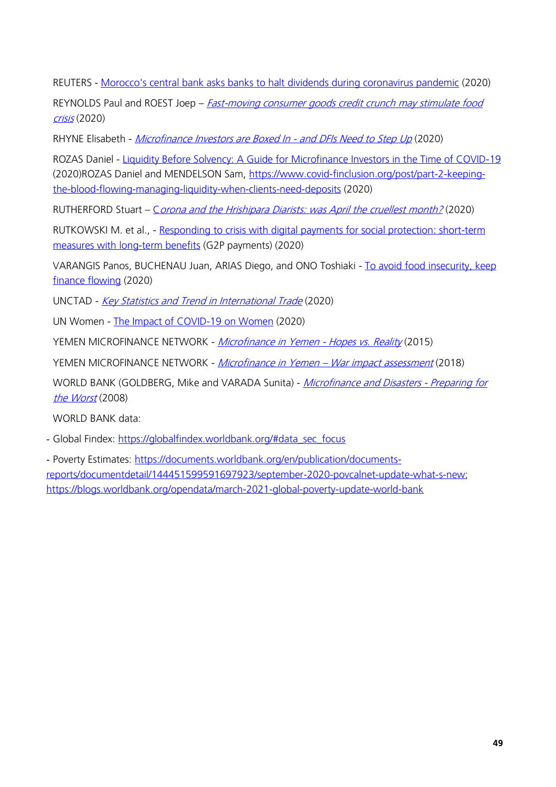REUTERS - [Morocco's central bank asks banks to halt dividends during coronavirus pandemic](https://www.reuters.com/article/morocco-cenbank/moroccos-central-bank-asks-banks-to-halt-dividends-during-coronavirus-pandemic-idUSL8N2CS0VU) (2020)

REYNOLDS Paul and ROEST Joep - *Fast-moving consumer goods credit crunch may stimulate food* [crisis](https://www.cgap.org/blog/indonesias-retail-credit-crunch-requires-action-keep-shelves-full) (2020)

RHYNE Elisabeth - [Microfinance Investors are Boxed In -](https://www.covid-finclusion.org/post/microfinance-investors-are-boxed-in-and-dfis-need-to-step-up) and DFIs Need to Step Up (2020)

ROZAS Daniel - [Liquidity Before Solvency: A Guide for Microfinance Investors in the Time of COVID-19](https://nextbillion.net/liquidity-solvency-microfinance-investors-covid19/) (2020)ROZAS Daniel and MENDELSON Sam, [https://www.covid-finclusion.org/post/part-2-keeping](https://www.covid-finclusion.org/post/part-2-keeping-the-blood-flowing-managing-liquidity-when-clients-need-deposits)[the-blood-flowing-managing-liquidity-when-clients-need-deposits](https://www.covid-finclusion.org/post/part-2-keeping-the-blood-flowing-managing-liquidity-when-clients-need-deposits) (2020)

RUTHERFORD Stuart – C[orona and the Hrishipara Diarists: was April the cruellest month?](http://blog.gdi.manchester.ac.uk/covid-19-and-the-hrishipara-diarists-april/) (2020)

RUTKOWSKI M. et al., - Responding to crisis with digital payments for social protection: short-term [measures with long-term benefits](https://blogs.worldbank.org/voices/responding-crisis-digital-payments-social-protection-short-term-measures-long-term-benefits) (G2P payments) (2020)

VARANGIS Panos, BUCHENAU Juan, ARIAS Diego, and ONO Toshiaki - [To avoid food insecurity, keep](https://blogs.worldbank.org/psd/avoid-food-insecurity-keep-finance-flowing)  [finance flowing](https://blogs.worldbank.org/psd/avoid-food-insecurity-keep-finance-flowing) (2020)

UNCTAD - [Key Statistics and Trend in International Trade](https://unctad.org/system/files/official-document/ditctab2020d4_en.pdf) (2020)

UN Women - [The Impact of COVID-19 on Women](https://www.unwomen.org/-/media/headquarters/attachments/sections/library/publications/2020/policy-brief-the-impact-of-covid-19-on-women-en.pdf?la=en&vs=1406) (2020)

YEMEN MICROFINANCE NETWORK - [Microfinance in Yemen -](https://www.findevgateway.org/sites/default/files/publications/files/microfinance_in_yemen_-_impact_of_war_ymn_july_2015.pdf) Hopes vs. Reality (2015)

YEMEN MICROFINANCE NETWORK - Microfinance in Yemen - [War impact assessment](https://www.sfd-yemen.org/uploads/issues/Microfinance%20in%20Yemen%20Impact%20Assessment-20200315-112043.PDF) (2018)

WORLD BANK (GOLDBERG, Mike and VARADA Sunita) - [Microfinance and Disasters -](https://documents1.worldbank.org/curated/en/404121468012040641/pdf/475290BRI0en0B10Box334139B01PUBLIC1.pdf) Preparing for [the Worst](https://documents1.worldbank.org/curated/en/404121468012040641/pdf/475290BRI0en0B10Box334139B01PUBLIC1.pdf) (2008)

WORLD BANK data:

- Global Findex: [https://globalfindex.worldbank.org/#data\\_sec\\_focus](https://globalfindex.worldbank.org/#data_sec_focus)

- Poverty Estimates: [https://documents.worldbank.org/en/publication/documents](https://documents.worldbank.org/en/publication/documents-reports/documentdetail/144451599591697923/september-2020-povcalnet-update-what-s-new)[reports/documentdetail/144451599591697923/september-2020-povcalnet-update-what-s-new;](https://documents.worldbank.org/en/publication/documents-reports/documentdetail/144451599591697923/september-2020-povcalnet-update-what-s-new) <https://blogs.worldbank.org/opendata/march-2021-global-poverty-update-world-bank>